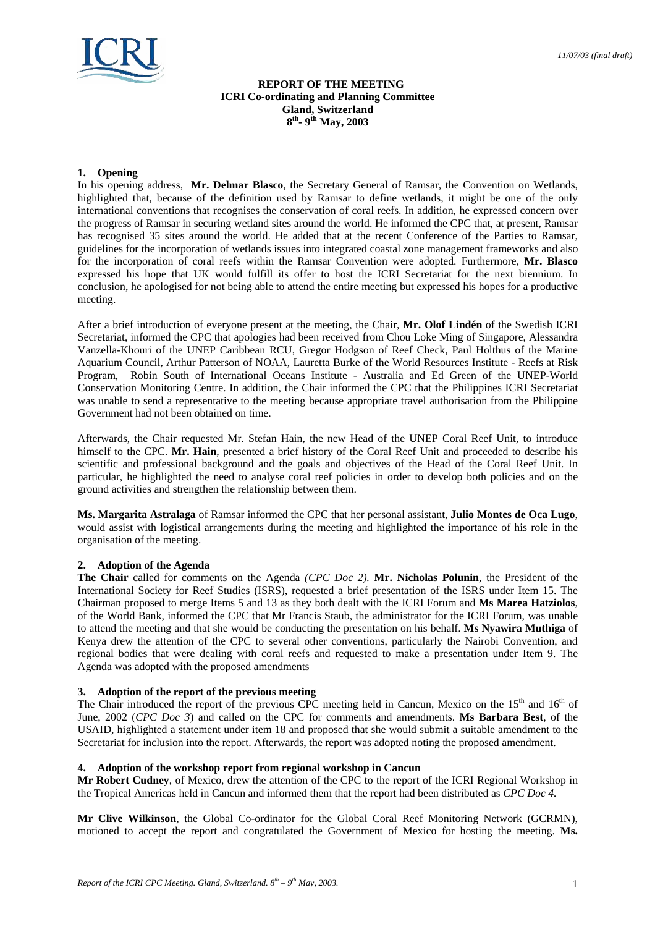

# **REPORT OF THE MEETING ICRI Co-ordinating and Planning Committee Gland, Switzerland 8th- 9th May, 2003**

# **1. Opening**

In his opening address, **Mr. Delmar Blasco**, the Secretary General of Ramsar, the Convention on Wetlands, highlighted that, because of the definition used by Ramsar to define wetlands, it might be one of the only international conventions that recognises the conservation of coral reefs. In addition, he expressed concern over the progress of Ramsar in securing wetland sites around the world. He informed the CPC that, at present, Ramsar has recognised 35 sites around the world. He added that at the recent Conference of the Parties to Ramsar, guidelines for the incorporation of wetlands issues into integrated coastal zone management frameworks and also for the incorporation of coral reefs within the Ramsar Convention were adopted. Furthermore, **Mr. Blasco** expressed his hope that UK would fulfill its offer to host the ICRI Secretariat for the next biennium. In conclusion, he apologised for not being able to attend the entire meeting but expressed his hopes for a productive meeting.

After a brief introduction of everyone present at the meeting, the Chair, **Mr. Olof Lindén** of the Swedish ICRI Secretariat, informed the CPC that apologies had been received from Chou Loke Ming of Singapore, Alessandra Vanzella-Khouri of the UNEP Caribbean RCU, Gregor Hodgson of Reef Check, Paul Holthus of the Marine Aquarium Council, Arthur Patterson of NOAA, Lauretta Burke of the World Resources Institute - Reefs at Risk Program, Robin South of International Oceans Institute - Australia and Ed Green of the UNEP-World Conservation Monitoring Centre. In addition, the Chair informed the CPC that the Philippines ICRI Secretariat was unable to send a representative to the meeting because appropriate travel authorisation from the Philippine Government had not been obtained on time.

Afterwards, the Chair requested Mr. Stefan Hain, the new Head of the UNEP Coral Reef Unit, to introduce himself to the CPC. **Mr. Hain**, presented a brief history of the Coral Reef Unit and proceeded to describe his scientific and professional background and the goals and objectives of the Head of the Coral Reef Unit. In particular, he highlighted the need to analyse coral reef policies in order to develop both policies and on the ground activities and strengthen the relationship between them.

**Ms. Margarita Astralaga** of Ramsar informed the CPC that her personal assistant, **Julio Montes de Oca Lugo**, would assist with logistical arrangements during the meeting and highlighted the importance of his role in the organisation of the meeting.

# **2. Adoption of the Agenda**

**The Chair** called for comments on the Agenda *(CPC Doc 2).* **Mr. Nicholas Polunin**, the President of the International Society for Reef Studies (ISRS), requested a brief presentation of the ISRS under Item 15. The Chairman proposed to merge Items 5 and 13 as they both dealt with the ICRI Forum and **Ms Marea Hatziolos**, of the World Bank, informed the CPC that Mr Francis Staub, the administrator for the ICRI Forum, was unable to attend the meeting and that she would be conducting the presentation on his behalf. **Ms Nyawira Muthiga** of Kenya drew the attention of the CPC to several other conventions, particularly the Nairobi Convention, and regional bodies that were dealing with coral reefs and requested to make a presentation under Item 9. The Agenda was adopted with the proposed amendments

# **3. Adoption of the report of the previous meeting**

The Chair introduced the report of the previous CPC meeting held in Cancun, Mexico on the  $15<sup>th</sup>$  and  $16<sup>th</sup>$  of June, 2002 (*CPC Doc 3*) and called on the CPC for comments and amendments. **Ms Barbara Best**, of the USAID, highlighted a statement under item 18 and proposed that she would submit a suitable amendment to the Secretariat for inclusion into the report. Afterwards, the report was adopted noting the proposed amendment.

# **4. Adoption of the workshop report from regional workshop in Cancun**

Mr Robert Cudney, of Mexico, drew the attention of the CPC to the report of the ICRI Regional Workshop in the Tropical Americas held in Cancun and informed them that the report had been distributed as *CPC Doc 4.*

**Mr Clive Wilkinson**, the Global Co-ordinator for the Global Coral Reef Monitoring Network (GCRMN), motioned to accept the report and congratulated the Government of Mexico for hosting the meeting. **Ms.**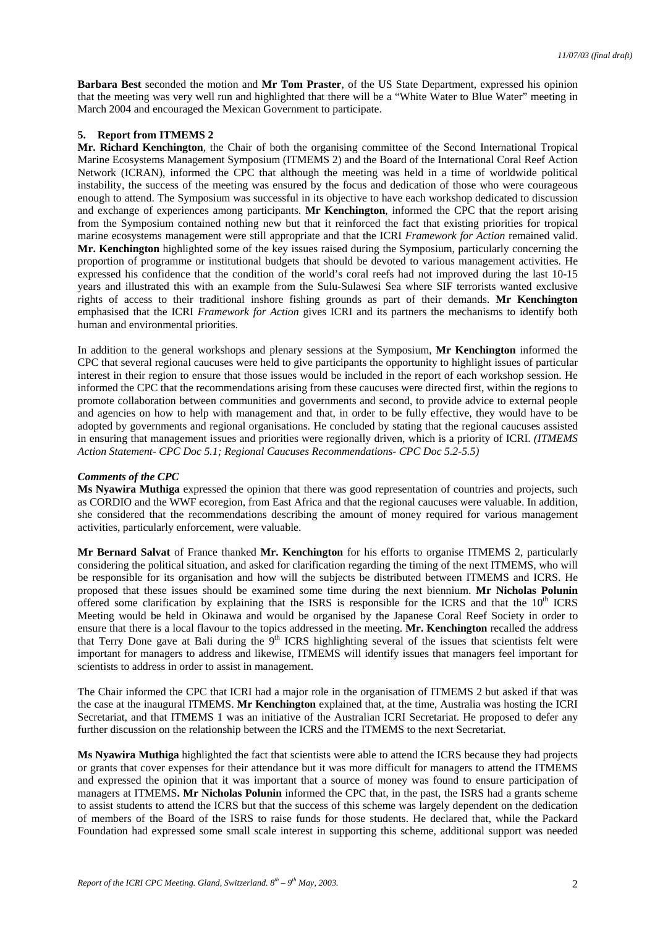**Barbara Best** seconded the motion and **Mr Tom Praster**, of the US State Department, expressed his opinion that the meeting was very well run and highlighted that there will be a "White Water to Blue Water" meeting in March 2004 and encouraged the Mexican Government to participate.

### **5. Report from ITMEMS 2**

**Mr. Richard Kenchington**, the Chair of both the organising committee of the Second International Tropical Marine Ecosystems Management Symposium (ITMEMS 2) and the Board of the International Coral Reef Action Network (ICRAN), informed the CPC that although the meeting was held in a time of worldwide political instability, the success of the meeting was ensured by the focus and dedication of those who were courageous enough to attend. The Symposium was successful in its objective to have each workshop dedicated to discussion and exchange of experiences among participants. **Mr Kenchington**, informed the CPC that the report arising from the Symposium contained nothing new but that it reinforced the fact that existing priorities for tropical marine ecosystems management were still appropriate and that the ICRI *Framework for Action* remained valid. **Mr. Kenchington** highlighted some of the key issues raised during the Symposium, particularly concerning the proportion of programme or institutional budgets that should be devoted to various management activities. He expressed his confidence that the condition of the world's coral reefs had not improved during the last 10-15 years and illustrated this with an example from the Sulu-Sulawesi Sea where SIF terrorists wanted exclusive rights of access to their traditional inshore fishing grounds as part of their demands. **Mr Kenchington** emphasised that the ICRI *Framework for Action* gives ICRI and its partners the mechanisms to identify both human and environmental priorities.

In addition to the general workshops and plenary sessions at the Symposium, **Mr Kenchington** informed the CPC that several regional caucuses were held to give participants the opportunity to highlight issues of particular interest in their region to ensure that those issues would be included in the report of each workshop session. He informed the CPC that the recommendations arising from these caucuses were directed first, within the regions to promote collaboration between communities and governments and second, to provide advice to external people and agencies on how to help with management and that, in order to be fully effective, they would have to be adopted by governments and regional organisations. He concluded by stating that the regional caucuses assisted in ensuring that management issues and priorities were regionally driven, which is a priority of ICRI. *(ITMEMS Action Statement- CPC Doc 5.1; Regional Caucuses Recommendations- CPC Doc 5.2-5.5)*

## *Comments of the CPC*

**Ms Nyawira Muthiga** expressed the opinion that there was good representation of countries and projects, such as CORDIO and the WWF ecoregion, from East Africa and that the regional caucuses were valuable. In addition, she considered that the recommendations describing the amount of money required for various management activities, particularly enforcement, were valuable.

**Mr Bernard Salvat** of France thanked **Mr. Kenchington** for his efforts to organise ITMEMS 2, particularly considering the political situation, and asked for clarification regarding the timing of the next ITMEMS, who will be responsible for its organisation and how will the subjects be distributed between ITMEMS and ICRS. He proposed that these issues should be examined some time during the next biennium. **Mr Nicholas Polunin** offered some clarification by explaining that the ISRS is responsible for the ICRS and that the  $10<sup>th</sup> ICRS$ Meeting would be held in Okinawa and would be organised by the Japanese Coral Reef Society in order to ensure that there is a local flavour to the topics addressed in the meeting. **Mr. Kenchington** recalled the address that Terry Done gave at Bali during the 9<sup>th</sup> ICRS highlighting several of the issues that scientists felt were important for managers to address and likewise, ITMEMS will identify issues that managers feel important for scientists to address in order to assist in management.

The Chair informed the CPC that ICRI had a major role in the organisation of ITMEMS 2 but asked if that was the case at the inaugural ITMEMS. **Mr Kenchington** explained that, at the time, Australia was hosting the ICRI Secretariat, and that ITMEMS 1 was an initiative of the Australian ICRI Secretariat. He proposed to defer any further discussion on the relationship between the ICRS and the ITMEMS to the next Secretariat.

**Ms Nyawira Muthiga** highlighted the fact that scientists were able to attend the ICRS because they had projects or grants that cover expenses for their attendance but it was more difficult for managers to attend the ITMEMS and expressed the opinion that it was important that a source of money was found to ensure participation of managers at ITMEMS**. Mr Nicholas Polunin** informed the CPC that, in the past, the ISRS had a grants scheme to assist students to attend the ICRS but that the success of this scheme was largely dependent on the dedication of members of the Board of the ISRS to raise funds for those students. He declared that, while the Packard Foundation had expressed some small scale interest in supporting this scheme, additional support was needed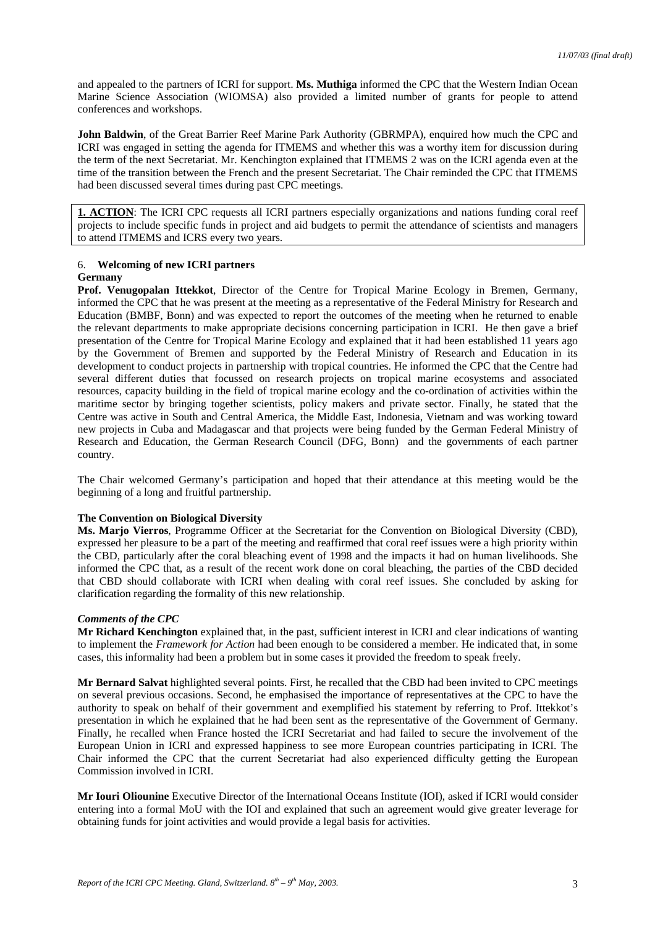and appealed to the partners of ICRI for support. **Ms. Muthiga** informed the CPC that the Western Indian Ocean Marine Science Association (WIOMSA) also provided a limited number of grants for people to attend conferences and workshops.

**John Baldwin**, of the Great Barrier Reef Marine Park Authority (GBRMPA), enquired how much the CPC and ICRI was engaged in setting the agenda for ITMEMS and whether this was a worthy item for discussion during the term of the next Secretariat. Mr. Kenchington explained that ITMEMS 2 was on the ICRI agenda even at the time of the transition between the French and the present Secretariat. The Chair reminded the CPC that ITMEMS had been discussed several times during past CPC meetings.

**1. ACTION**: The ICRI CPC requests all ICRI partners especially organizations and nations funding coral reef projects to include specific funds in project and aid budgets to permit the attendance of scientists and managers to attend ITMEMS and ICRS every two years.

## 6. **Welcoming of new ICRI partners Germany**

**Prof. Venugopalan Ittekkot**, Director of the Centre for Tropical Marine Ecology in Bremen, Germany, informed the CPC that he was present at the meeting as a representative of the Federal Ministry for Research and Education (BMBF, Bonn) and was expected to report the outcomes of the meeting when he returned to enable the relevant departments to make appropriate decisions concerning participation in ICRI. He then gave a brief presentation of the Centre for Tropical Marine Ecology and explained that it had been established 11 years ago by the Government of Bremen and supported by the Federal Ministry of Research and Education in its development to conduct projects in partnership with tropical countries. He informed the CPC that the Centre had several different duties that focussed on research projects on tropical marine ecosystems and associated resources, capacity building in the field of tropical marine ecology and the co-ordination of activities within the maritime sector by bringing together scientists, policy makers and private sector. Finally, he stated that the Centre was active in South and Central America, the Middle East, Indonesia, Vietnam and was working toward new projects in Cuba and Madagascar and that projects were being funded by the German Federal Ministry of Research and Education, the German Research Council (DFG, Bonn) and the governments of each partner country.

The Chair welcomed Germany's participation and hoped that their attendance at this meeting would be the beginning of a long and fruitful partnership.

# **The Convention on Biological Diversity**

**Ms. Marjo Vierros**, Programme Officer at the Secretariat for the Convention on Biological Diversity (CBD), expressed her pleasure to be a part of the meeting and reaffirmed that coral reef issues were a high priority within the CBD, particularly after the coral bleaching event of 1998 and the impacts it had on human livelihoods. She informed the CPC that, as a result of the recent work done on coral bleaching, the parties of the CBD decided that CBD should collaborate with ICRI when dealing with coral reef issues. She concluded by asking for clarification regarding the formality of this new relationship.

# *Comments of the CPC*

**Mr Richard Kenchington** explained that, in the past, sufficient interest in ICRI and clear indications of wanting to implement the *Framework for Action* had been enough to be considered a member. He indicated that, in some cases, this informality had been a problem but in some cases it provided the freedom to speak freely.

**Mr Bernard Salvat** highlighted several points. First, he recalled that the CBD had been invited to CPC meetings on several previous occasions. Second, he emphasised the importance of representatives at the CPC to have the authority to speak on behalf of their government and exemplified his statement by referring to Prof. Ittekkot's presentation in which he explained that he had been sent as the representative of the Government of Germany. Finally, he recalled when France hosted the ICRI Secretariat and had failed to secure the involvement of the European Union in ICRI and expressed happiness to see more European countries participating in ICRI. The Chair informed the CPC that the current Secretariat had also experienced difficulty getting the European Commission involved in ICRI.

**Mr Iouri Oliounine** Executive Director of the International Oceans Institute (IOI), asked if ICRI would consider entering into a formal MoU with the IOI and explained that such an agreement would give greater leverage for obtaining funds for joint activities and would provide a legal basis for activities.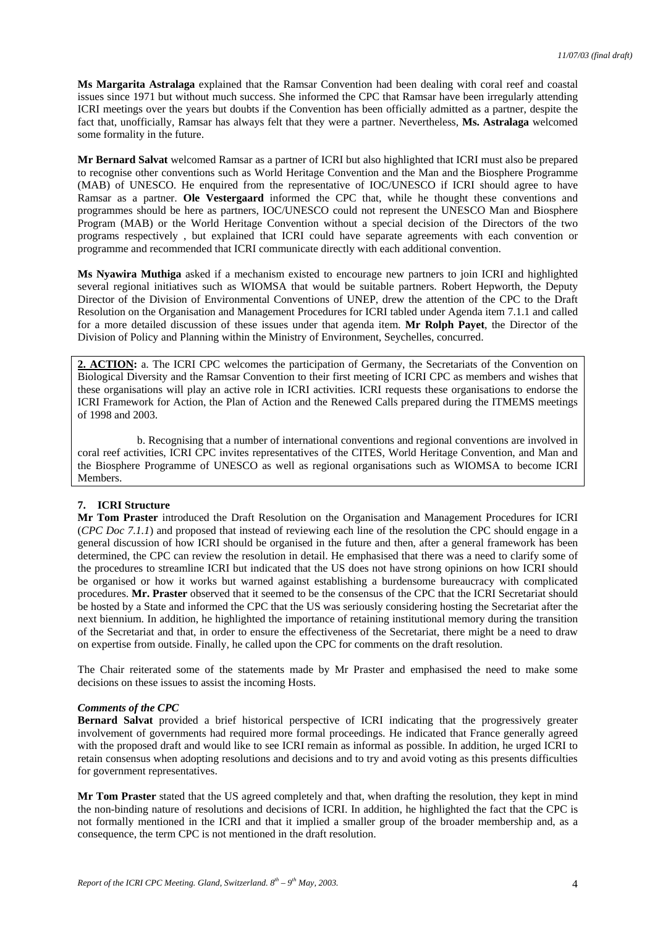**Ms Margarita Astralaga** explained that the Ramsar Convention had been dealing with coral reef and coastal issues since 1971 but without much success. She informed the CPC that Ramsar have been irregularly attending ICRI meetings over the years but doubts if the Convention has been officially admitted as a partner, despite the fact that, unofficially, Ramsar has always felt that they were a partner. Nevertheless, **Ms. Astralaga** welcomed some formality in the future.

**Mr Bernard Salvat** welcomed Ramsar as a partner of ICRI but also highlighted that ICRI must also be prepared to recognise other conventions such as World Heritage Convention and the Man and the Biosphere Programme (MAB) of UNESCO. He enquired from the representative of IOC/UNESCO if ICRI should agree to have Ramsar as a partner. **Ole Vestergaard** informed the CPC that, while he thought these conventions and programmes should be here as partners, IOC/UNESCO could not represent the UNESCO Man and Biosphere Program (MAB) or the World Heritage Convention without a special decision of the Directors of the two programs respectively , but explained that ICRI could have separate agreements with each convention or programme and recommended that ICRI communicate directly with each additional convention.

**Ms Nyawira Muthiga** asked if a mechanism existed to encourage new partners to join ICRI and highlighted several regional initiatives such as WIOMSA that would be suitable partners. Robert Hepworth, the Deputy Director of the Division of Environmental Conventions of UNEP, drew the attention of the CPC to the Draft Resolution on the Organisation and Management Procedures for ICRI tabled under Agenda item 7.1.1 and called for a more detailed discussion of these issues under that agenda item. **Mr Rolph Payet**, the Director of the Division of Policy and Planning within the Ministry of Environment, Seychelles, concurred.

2. **ACTION:** a. The ICRI CPC welcomes the participation of Germany, the Secretariats of the Convention on Biological Diversity and the Ramsar Convention to their first meeting of ICRI CPC as members and wishes that these organisations will play an active role in ICRI activities. ICRI requests these organisations to endorse the ICRI Framework for Action, the Plan of Action and the Renewed Calls prepared during the ITMEMS meetings of 1998 and 2003.

b. Recognising that a number of international conventions and regional conventions are involved in coral reef activities, ICRI CPC invites representatives of the CITES, World Heritage Convention, and Man and the Biosphere Programme of UNESCO as well as regional organisations such as WIOMSA to become ICRI Members.

# **7. ICRI Structure**

**Mr Tom Praster** introduced the Draft Resolution on the Organisation and Management Procedures for ICRI (*CPC Doc 7.1.1*) and proposed that instead of reviewing each line of the resolution the CPC should engage in a general discussion of how ICRI should be organised in the future and then, after a general framework has been determined, the CPC can review the resolution in detail. He emphasised that there was a need to clarify some of the procedures to streamline ICRI but indicated that the US does not have strong opinions on how ICRI should be organised or how it works but warned against establishing a burdensome bureaucracy with complicated procedures. **Mr. Praster** observed that it seemed to be the consensus of the CPC that the ICRI Secretariat should be hosted by a State and informed the CPC that the US was seriously considering hosting the Secretariat after the next biennium. In addition, he highlighted the importance of retaining institutional memory during the transition of the Secretariat and that, in order to ensure the effectiveness of the Secretariat, there might be a need to draw on expertise from outside. Finally, he called upon the CPC for comments on the draft resolution.

The Chair reiterated some of the statements made by Mr Praster and emphasised the need to make some decisions on these issues to assist the incoming Hosts.

## *Comments of the CPC*

**Bernard Salvat** provided a brief historical perspective of ICRI indicating that the progressively greater involvement of governments had required more formal proceedings. He indicated that France generally agreed with the proposed draft and would like to see ICRI remain as informal as possible. In addition, he urged ICRI to retain consensus when adopting resolutions and decisions and to try and avoid voting as this presents difficulties for government representatives.

**Mr Tom Praster** stated that the US agreed completely and that, when drafting the resolution, they kept in mind the non-binding nature of resolutions and decisions of ICRI. In addition, he highlighted the fact that the CPC is not formally mentioned in the ICRI and that it implied a smaller group of the broader membership and, as a consequence, the term CPC is not mentioned in the draft resolution.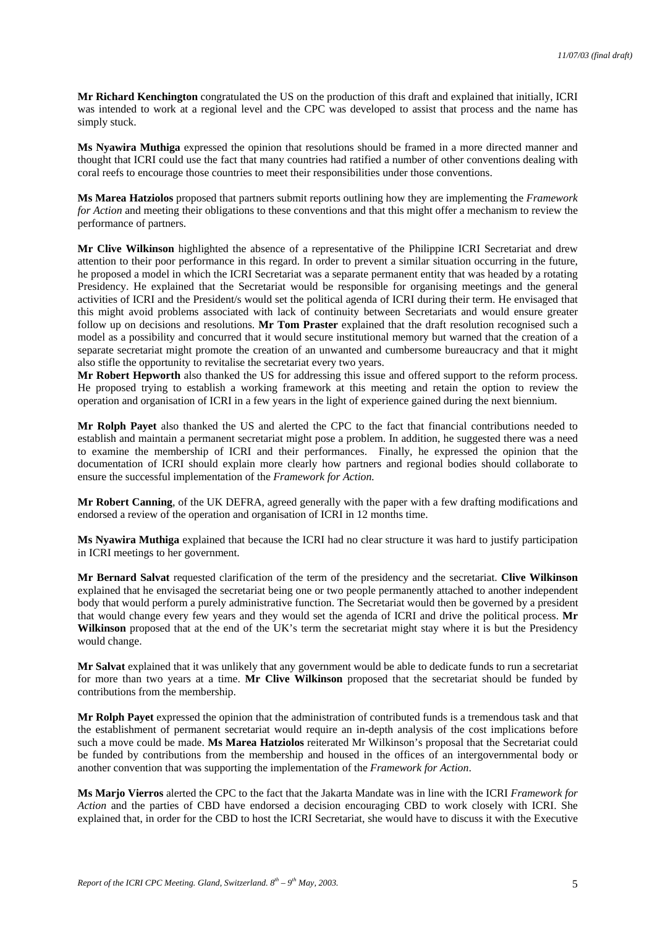**Mr Richard Kenchington** congratulated the US on the production of this draft and explained that initially, ICRI was intended to work at a regional level and the CPC was developed to assist that process and the name has simply stuck.

**Ms Nyawira Muthiga** expressed the opinion that resolutions should be framed in a more directed manner and thought that ICRI could use the fact that many countries had ratified a number of other conventions dealing with coral reefs to encourage those countries to meet their responsibilities under those conventions.

**Ms Marea Hatziolos** proposed that partners submit reports outlining how they are implementing the *Framework for Action* and meeting their obligations to these conventions and that this might offer a mechanism to review the performance of partners.

**Mr Clive Wilkinson** highlighted the absence of a representative of the Philippine ICRI Secretariat and drew attention to their poor performance in this regard. In order to prevent a similar situation occurring in the future, he proposed a model in which the ICRI Secretariat was a separate permanent entity that was headed by a rotating Presidency. He explained that the Secretariat would be responsible for organising meetings and the general activities of ICRI and the President/s would set the political agenda of ICRI during their term. He envisaged that this might avoid problems associated with lack of continuity between Secretariats and would ensure greater follow up on decisions and resolutions. **Mr Tom Praster** explained that the draft resolution recognised such a model as a possibility and concurred that it would secure institutional memory but warned that the creation of a separate secretariat might promote the creation of an unwanted and cumbersome bureaucracy and that it might also stifle the opportunity to revitalise the secretariat every two years.

**Mr Robert Hepworth** also thanked the US for addressing this issue and offered support to the reform process. He proposed trying to establish a working framework at this meeting and retain the option to review the operation and organisation of ICRI in a few years in the light of experience gained during the next biennium.

**Mr Rolph Payet** also thanked the US and alerted the CPC to the fact that financial contributions needed to establish and maintain a permanent secretariat might pose a problem. In addition, he suggested there was a need to examine the membership of ICRI and their performances. Finally, he expressed the opinion that the documentation of ICRI should explain more clearly how partners and regional bodies should collaborate to ensure the successful implementation of the *Framework for Action.*

**Mr Robert Canning**, of the UK DEFRA, agreed generally with the paper with a few drafting modifications and endorsed a review of the operation and organisation of ICRI in 12 months time.

**Ms Nyawira Muthiga** explained that because the ICRI had no clear structure it was hard to justify participation in ICRI meetings to her government.

**Mr Bernard Salvat** requested clarification of the term of the presidency and the secretariat. **Clive Wilkinson** explained that he envisaged the secretariat being one or two people permanently attached to another independent body that would perform a purely administrative function. The Secretariat would then be governed by a president that would change every few years and they would set the agenda of ICRI and drive the political process. **Mr Wilkinson** proposed that at the end of the UK's term the secretariat might stay where it is but the Presidency would change.

**Mr Salvat** explained that it was unlikely that any government would be able to dedicate funds to run a secretariat for more than two years at a time. **Mr Clive Wilkinson** proposed that the secretariat should be funded by contributions from the membership.

**Mr Rolph Payet** expressed the opinion that the administration of contributed funds is a tremendous task and that the establishment of permanent secretariat would require an in-depth analysis of the cost implications before such a move could be made. **Ms Marea Hatziolos** reiterated Mr Wilkinson's proposal that the Secretariat could be funded by contributions from the membership and housed in the offices of an intergovernmental body or another convention that was supporting the implementation of the *Framework for Action*.

**Ms Marjo Vierros** alerted the CPC to the fact that the Jakarta Mandate was in line with the ICRI *Framework for Action* and the parties of CBD have endorsed a decision encouraging CBD to work closely with ICRI. She explained that, in order for the CBD to host the ICRI Secretariat, she would have to discuss it with the Executive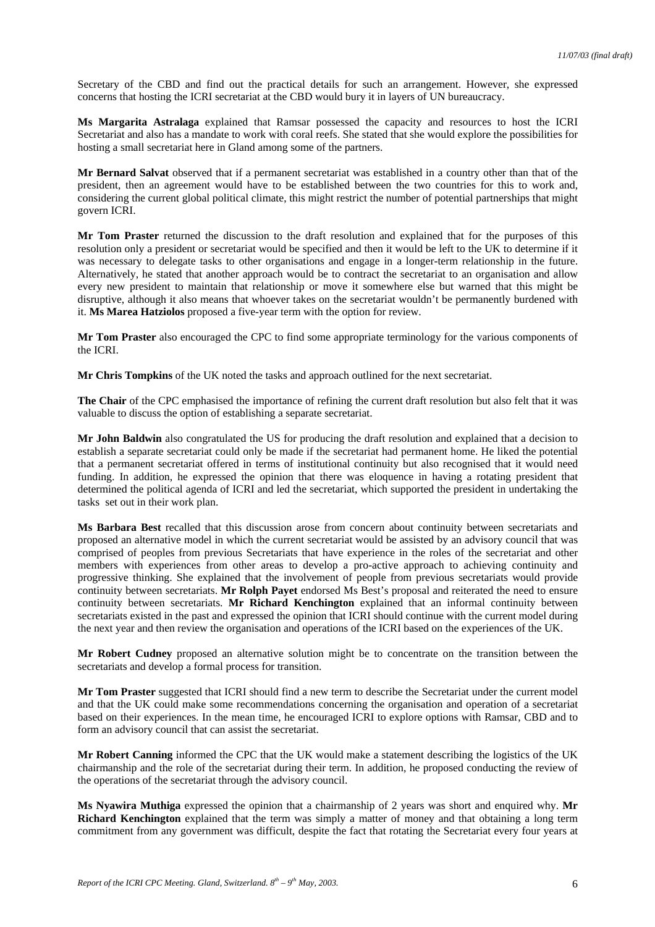Secretary of the CBD and find out the practical details for such an arrangement. However, she expressed concerns that hosting the ICRI secretariat at the CBD would bury it in layers of UN bureaucracy.

**Ms Margarita Astralaga** explained that Ramsar possessed the capacity and resources to host the ICRI Secretariat and also has a mandate to work with coral reefs. She stated that she would explore the possibilities for hosting a small secretariat here in Gland among some of the partners.

**Mr Bernard Salvat** observed that if a permanent secretariat was established in a country other than that of the president, then an agreement would have to be established between the two countries for this to work and, considering the current global political climate, this might restrict the number of potential partnerships that might govern ICRI.

**Mr Tom Praster** returned the discussion to the draft resolution and explained that for the purposes of this resolution only a president or secretariat would be specified and then it would be left to the UK to determine if it was necessary to delegate tasks to other organisations and engage in a longer-term relationship in the future. Alternatively, he stated that another approach would be to contract the secretariat to an organisation and allow every new president to maintain that relationship or move it somewhere else but warned that this might be disruptive, although it also means that whoever takes on the secretariat wouldn't be permanently burdened with it. **Ms Marea Hatziolos** proposed a five-year term with the option for review.

**Mr Tom Praster** also encouraged the CPC to find some appropriate terminology for the various components of the ICRI.

**Mr Chris Tompkins** of the UK noted the tasks and approach outlined for the next secretariat.

**The Chair** of the CPC emphasised the importance of refining the current draft resolution but also felt that it was valuable to discuss the option of establishing a separate secretariat.

**Mr John Baldwin** also congratulated the US for producing the draft resolution and explained that a decision to establish a separate secretariat could only be made if the secretariat had permanent home. He liked the potential that a permanent secretariat offered in terms of institutional continuity but also recognised that it would need funding. In addition, he expressed the opinion that there was eloquence in having a rotating president that determined the political agenda of ICRI and led the secretariat, which supported the president in undertaking the tasks set out in their work plan.

**Ms Barbara Best** recalled that this discussion arose from concern about continuity between secretariats and proposed an alternative model in which the current secretariat would be assisted by an advisory council that was comprised of peoples from previous Secretariats that have experience in the roles of the secretariat and other members with experiences from other areas to develop a pro-active approach to achieving continuity and progressive thinking. She explained that the involvement of people from previous secretariats would provide continuity between secretariats. **Mr Rolph Payet** endorsed Ms Best's proposal and reiterated the need to ensure continuity between secretariats. **Mr Richard Kenchington** explained that an informal continuity between secretariats existed in the past and expressed the opinion that ICRI should continue with the current model during the next year and then review the organisation and operations of the ICRI based on the experiences of the UK.

**Mr Robert Cudney** proposed an alternative solution might be to concentrate on the transition between the secretariats and develop a formal process for transition.

**Mr Tom Praster** suggested that ICRI should find a new term to describe the Secretariat under the current model and that the UK could make some recommendations concerning the organisation and operation of a secretariat based on their experiences. In the mean time, he encouraged ICRI to explore options with Ramsar, CBD and to form an advisory council that can assist the secretariat.

**Mr Robert Canning** informed the CPC that the UK would make a statement describing the logistics of the UK chairmanship and the role of the secretariat during their term. In addition, he proposed conducting the review of the operations of the secretariat through the advisory council.

**Ms Nyawira Muthiga** expressed the opinion that a chairmanship of 2 years was short and enquired why. **Mr Richard Kenchington** explained that the term was simply a matter of money and that obtaining a long term commitment from any government was difficult, despite the fact that rotating the Secretariat every four years at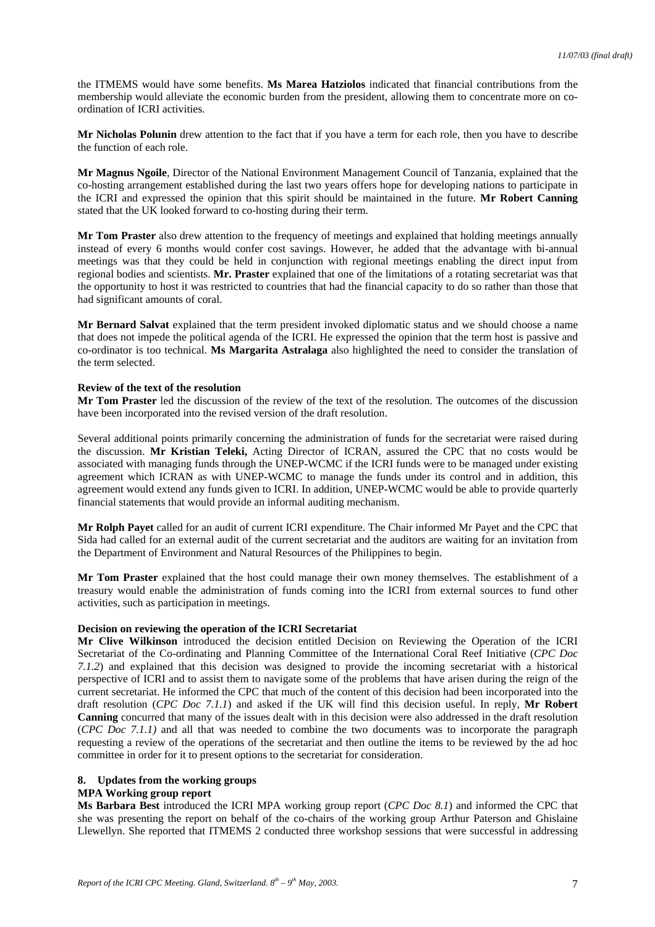the ITMEMS would have some benefits. **Ms Marea Hatziolos** indicated that financial contributions from the membership would alleviate the economic burden from the president, allowing them to concentrate more on coordination of ICRI activities.

**Mr Nicholas Polunin** drew attention to the fact that if you have a term for each role, then you have to describe the function of each role.

**Mr Magnus Ngoile**, Director of the National Environment Management Council of Tanzania, explained that the co-hosting arrangement established during the last two years offers hope for developing nations to participate in the ICRI and expressed the opinion that this spirit should be maintained in the future. **Mr Robert Canning** stated that the UK looked forward to co-hosting during their term.

**Mr Tom Praster** also drew attention to the frequency of meetings and explained that holding meetings annually instead of every 6 months would confer cost savings. However, he added that the advantage with bi-annual meetings was that they could be held in conjunction with regional meetings enabling the direct input from regional bodies and scientists. **Mr. Praster** explained that one of the limitations of a rotating secretariat was that the opportunity to host it was restricted to countries that had the financial capacity to do so rather than those that had significant amounts of coral.

**Mr Bernard Salvat** explained that the term president invoked diplomatic status and we should choose a name that does not impede the political agenda of the ICRI. He expressed the opinion that the term host is passive and co-ordinator is too technical. **Ms Margarita Astralaga** also highlighted the need to consider the translation of the term selected.

#### **Review of the text of the resolution**

**Mr Tom Praster** led the discussion of the review of the text of the resolution. The outcomes of the discussion have been incorporated into the revised version of the draft resolution.

Several additional points primarily concerning the administration of funds for the secretariat were raised during the discussion. **Mr Kristian Teleki,** Acting Director of ICRAN, assured the CPC that no costs would be associated with managing funds through the UNEP-WCMC if the ICRI funds were to be managed under existing agreement which ICRAN as with UNEP-WCMC to manage the funds under its control and in addition, this agreement would extend any funds given to ICRI. In addition, UNEP-WCMC would be able to provide quarterly financial statements that would provide an informal auditing mechanism.

**Mr Rolph Payet** called for an audit of current ICRI expenditure. The Chair informed Mr Payet and the CPC that Sida had called for an external audit of the current secretariat and the auditors are waiting for an invitation from the Department of Environment and Natural Resources of the Philippines to begin.

**Mr Tom Praster** explained that the host could manage their own money themselves. The establishment of a treasury would enable the administration of funds coming into the ICRI from external sources to fund other activities, such as participation in meetings.

## **Decision on reviewing the operation of the ICRI Secretariat**

**Mr Clive Wilkinson** introduced the decision entitled Decision on Reviewing the Operation of the ICRI Secretariat of the Co-ordinating and Planning Committee of the International Coral Reef Initiative (*CPC Doc 7.1.2*) and explained that this decision was designed to provide the incoming secretariat with a historical perspective of ICRI and to assist them to navigate some of the problems that have arisen during the reign of the current secretariat. He informed the CPC that much of the content of this decision had been incorporated into the draft resolution (*CPC Doc 7.1.1*) and asked if the UK will find this decision useful. In reply, **Mr Robert Canning** concurred that many of the issues dealt with in this decision were also addressed in the draft resolution (*CPC Doc 7.1.1)* and all that was needed to combine the two documents was to incorporate the paragraph requesting a review of the operations of the secretariat and then outline the items to be reviewed by the ad hoc committee in order for it to present options to the secretariat for consideration.

### **8. Updates from the working groups**

# **MPA Working group report**

**Ms Barbara Best** introduced the ICRI MPA working group report (*CPC Doc 8.1*) and informed the CPC that she was presenting the report on behalf of the co-chairs of the working group Arthur Paterson and Ghislaine Llewellyn. She reported that ITMEMS 2 conducted three workshop sessions that were successful in addressing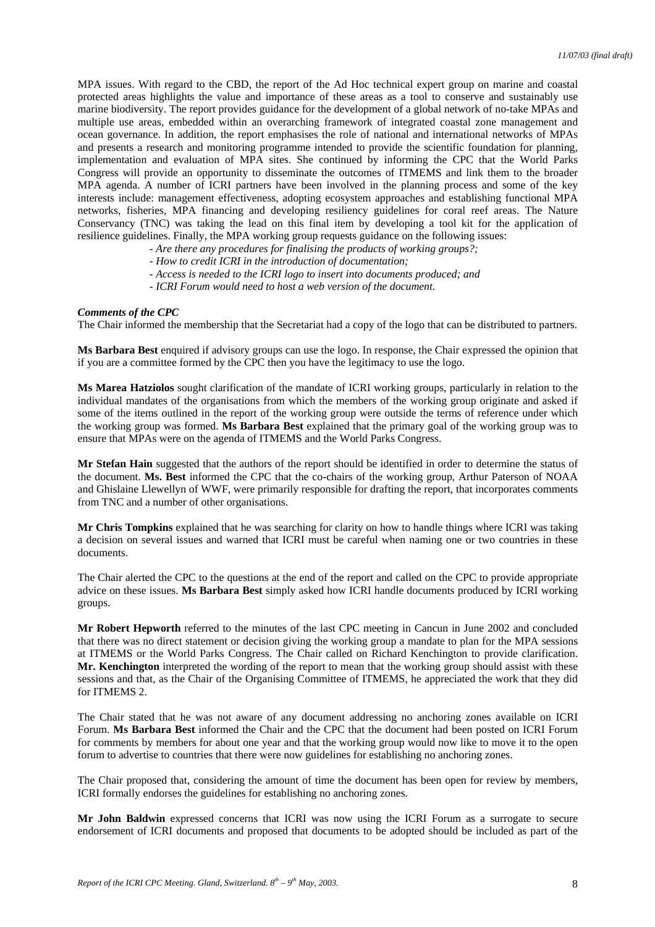MPA issues. With regard to the CBD, the report of the Ad Hoc technical expert group on marine and coastal protected areas highlights the value and importance of these areas as a tool to conserve and sustainably use marine biodiversity. The report provides guidance for the development of a global network of no-take MPAs and multiple use areas, embedded within an overarching framework of integrated coastal zone management and ocean governance. In addition, the report emphasises the role of national and international networks of MPAs and presents a research and monitoring programme intended to provide the scientific foundation for planning, implementation and evaluation of MPA sites. She continued by informing the CPC that the World Parks Congress will provide an opportunity to disseminate the outcomes of ITMEMS and link them to the broader MPA agenda. A number of ICRI partners have been involved in the planning process and some of the key interests include: management effectiveness, adopting ecosystem approaches and establishing functional MPA networks, fisheries, MPA financing and developing resiliency guidelines for coral reef areas. The Nature Conservancy (TNC) was taking the lead on this final item by developing a tool kit for the application of resilience guidelines. Finally, the MPA working group requests guidance on the following issues:

- *Are there any procedures for finalising the products of working groups?;*
- *How to credit ICRI in the introduction of documentation;*
- *Access is needed to the ICRI logo to insert into documents produced; and*
- *ICRI Forum would need to host a web version of the document.*

#### *Comments of the CPC*

The Chair informed the membership that the Secretariat had a copy of the logo that can be distributed to partners.

**Ms Barbara Best** enquired if advisory groups can use the logo. In response, the Chair expressed the opinion that if you are a committee formed by the CPC then you have the legitimacy to use the logo.

**Ms Marea Hatziolos** sought clarification of the mandate of ICRI working groups, particularly in relation to the individual mandates of the organisations from which the members of the working group originate and asked if some of the items outlined in the report of the working group were outside the terms of reference under which the working group was formed. **Ms Barbara Best** explained that the primary goal of the working group was to ensure that MPAs were on the agenda of ITMEMS and the World Parks Congress.

**Mr Stefan Hain** suggested that the authors of the report should be identified in order to determine the status of the document. **Ms. Best** informed the CPC that the co-chairs of the working group, Arthur Paterson of NOAA and Ghislaine Llewellyn of WWF, were primarily responsible for drafting the report, that incorporates comments from TNC and a number of other organisations.

**Mr Chris Tompkins** explained that he was searching for clarity on how to handle things where ICRI was taking a decision on several issues and warned that ICRI must be careful when naming one or two countries in these documents.

The Chair alerted the CPC to the questions at the end of the report and called on the CPC to provide appropriate advice on these issues. **Ms Barbara Best** simply asked how ICRI handle documents produced by ICRI working groups.

**Mr Robert Hepworth** referred to the minutes of the last CPC meeting in Cancun in June 2002 and concluded that there was no direct statement or decision giving the working group a mandate to plan for the MPA sessions at ITMEMS or the World Parks Congress. The Chair called on Richard Kenchington to provide clarification. **Mr. Kenchington** interpreted the wording of the report to mean that the working group should assist with these sessions and that, as the Chair of the Organising Committee of ITMEMS, he appreciated the work that they did for ITMEMS 2.

The Chair stated that he was not aware of any document addressing no anchoring zones available on ICRI Forum. **Ms Barbara Best** informed the Chair and the CPC that the document had been posted on ICRI Forum for comments by members for about one year and that the working group would now like to move it to the open forum to advertise to countries that there were now guidelines for establishing no anchoring zones.

The Chair proposed that, considering the amount of time the document has been open for review by members, ICRI formally endorses the guidelines for establishing no anchoring zones.

**Mr John Baldwin** expressed concerns that ICRI was now using the ICRI Forum as a surrogate to secure endorsement of ICRI documents and proposed that documents to be adopted should be included as part of the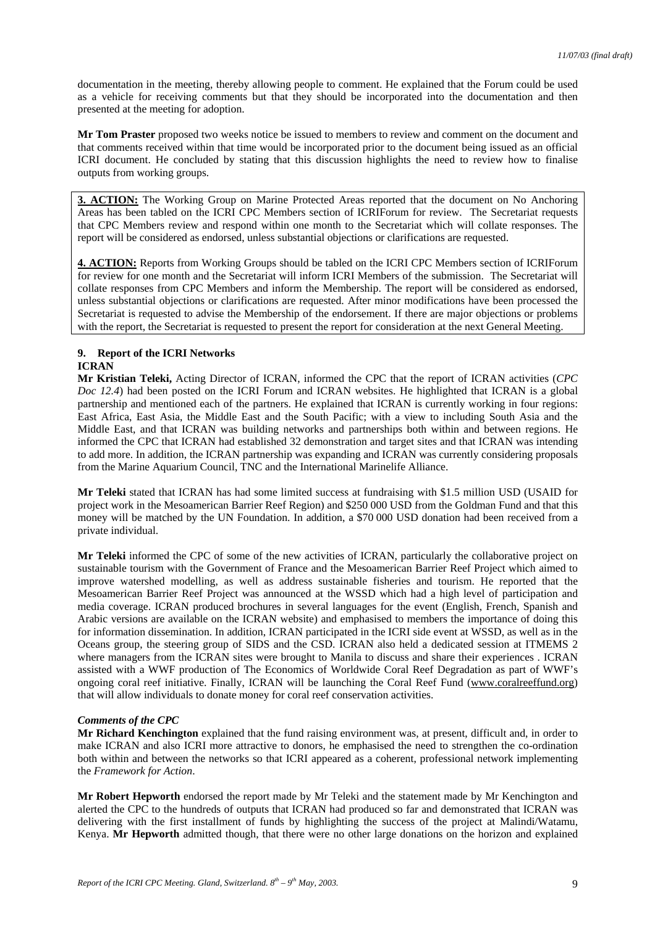documentation in the meeting, thereby allowing people to comment. He explained that the Forum could be used as a vehicle for receiving comments but that they should be incorporated into the documentation and then presented at the meeting for adoption.

**Mr Tom Praster** proposed two weeks notice be issued to members to review and comment on the document and that comments received within that time would be incorporated prior to the document being issued as an official ICRI document. He concluded by stating that this discussion highlights the need to review how to finalise outputs from working groups.

**3. ACTION:** The Working Group on Marine Protected Areas reported that the document on No Anchoring Areas has been tabled on the ICRI CPC Members section of ICRIForum for review. The Secretariat requests that CPC Members review and respond within one month to the Secretariat which will collate responses. The report will be considered as endorsed, unless substantial objections or clarifications are requested.

**4. ACTION:** Reports from Working Groups should be tabled on the ICRI CPC Members section of ICRIForum for review for one month and the Secretariat will inform ICRI Members of the submission. The Secretariat will collate responses from CPC Members and inform the Membership. The report will be considered as endorsed, unless substantial objections or clarifications are requested. After minor modifications have been processed the Secretariat is requested to advise the Membership of the endorsement. If there are major objections or problems with the report, the Secretariat is requested to present the report for consideration at the next General Meeting.

# **9. Report of the ICRI Networks ICRAN**

**Mr Kristian Teleki,** Acting Director of ICRAN, informed the CPC that the report of ICRAN activities (*CPC Doc 12.4*) had been posted on the ICRI Forum and ICRAN websites. He highlighted that ICRAN is a global partnership and mentioned each of the partners. He explained that ICRAN is currently working in four regions: East Africa, East Asia, the Middle East and the South Pacific; with a view to including South Asia and the Middle East, and that ICRAN was building networks and partnerships both within and between regions. He informed the CPC that ICRAN had established 32 demonstration and target sites and that ICRAN was intending to add more. In addition, the ICRAN partnership was expanding and ICRAN was currently considering proposals from the Marine Aquarium Council, TNC and the International Marinelife Alliance.

**Mr Teleki** stated that ICRAN has had some limited success at fundraising with \$1.5 million USD (USAID for project work in the Mesoamerican Barrier Reef Region) and \$250 000 USD from the Goldman Fund and that this money will be matched by the UN Foundation. In addition, a \$70 000 USD donation had been received from a private individual.

**Mr Teleki** informed the CPC of some of the new activities of ICRAN, particularly the collaborative project on sustainable tourism with the Government of France and the Mesoamerican Barrier Reef Project which aimed to improve watershed modelling, as well as address sustainable fisheries and tourism. He reported that the Mesoamerican Barrier Reef Project was announced at the WSSD which had a high level of participation and media coverage. ICRAN produced brochures in several languages for the event (English, French, Spanish and Arabic versions are available on the ICRAN website) and emphasised to members the importance of doing this for information dissemination. In addition, ICRAN participated in the ICRI side event at WSSD, as well as in the Oceans group, the steering group of SIDS and the CSD. ICRAN also held a dedicated session at ITMEMS 2 where managers from the ICRAN sites were brought to Manila to discuss and share their experiences . ICRAN assisted with a WWF production of The Economics of Worldwide Coral Reef Degradation as part of WWF's ongoing coral reef initiative. Finally, ICRAN will be launching the Coral Reef Fund ([www.coralreeffund.org\)](http://www.coralreeffund.org/) that will allow individuals to donate money for coral reef conservation activities.

# *Comments of the CPC*

**Mr Richard Kenchington** explained that the fund raising environment was, at present, difficult and, in order to make ICRAN and also ICRI more attractive to donors, he emphasised the need to strengthen the co-ordination both within and between the networks so that ICRI appeared as a coherent, professional network implementing the *Framework for Action*.

**Mr Robert Hepworth** endorsed the report made by Mr Teleki and the statement made by Mr Kenchington and alerted the CPC to the hundreds of outputs that ICRAN had produced so far and demonstrated that ICRAN was delivering with the first installment of funds by highlighting the success of the project at Malindi/Watamu, Kenya. **Mr Hepworth** admitted though, that there were no other large donations on the horizon and explained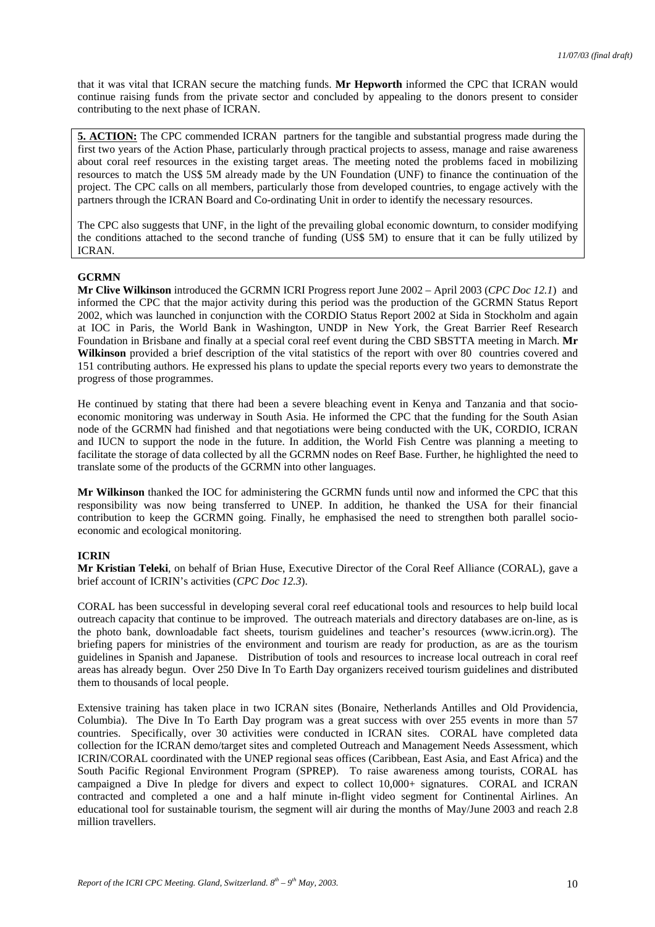that it was vital that ICRAN secure the matching funds. **Mr Hepworth** informed the CPC that ICRAN would continue raising funds from the private sector and concluded by appealing to the donors present to consider contributing to the next phase of ICRAN.

**5. ACTION:** The CPC commended ICRAN partners for the tangible and substantial progress made during the first two years of the Action Phase, particularly through practical projects to assess, manage and raise awareness about coral reef resources in the existing target areas. The meeting noted the problems faced in mobilizing resources to match the US\$ 5M already made by the UN Foundation (UNF) to finance the continuation of the project. The CPC calls on all members, particularly those from developed countries, to engage actively with the partners through the ICRAN Board and Co-ordinating Unit in order to identify the necessary resources.

The CPC also suggests that UNF, in the light of the prevailing global economic downturn, to consider modifying the conditions attached to the second tranche of funding (US\$ 5M) to ensure that it can be fully utilized by ICRAN.

#### **GCRMN**

**Mr Clive Wilkinson** introduced the GCRMN ICRI Progress report June 2002 – April 2003 (*CPC Doc 12.1*) and informed the CPC that the major activity during this period was the production of the GCRMN Status Report 2002, which was launched in conjunction with the CORDIO Status Report 2002 at Sida in Stockholm and again at IOC in Paris, the World Bank in Washington, UNDP in New York, the Great Barrier Reef Research Foundation in Brisbane and finally at a special coral reef event during the CBD SBSTTA meeting in March. **Mr Wilkinson** provided a brief description of the vital statistics of the report with over 80 countries covered and 151 contributing authors. He expressed his plans to update the special reports every two years to demonstrate the progress of those programmes.

He continued by stating that there had been a severe bleaching event in Kenya and Tanzania and that socioeconomic monitoring was underway in South Asia. He informed the CPC that the funding for the South Asian node of the GCRMN had finished and that negotiations were being conducted with the UK, CORDIO, ICRAN and IUCN to support the node in the future. In addition, the World Fish Centre was planning a meeting to facilitate the storage of data collected by all the GCRMN nodes on Reef Base. Further, he highlighted the need to translate some of the products of the GCRMN into other languages.

**Mr Wilkinson** thanked the IOC for administering the GCRMN funds until now and informed the CPC that this responsibility was now being transferred to UNEP. In addition, he thanked the USA for their financial contribution to keep the GCRMN going. Finally, he emphasised the need to strengthen both parallel socioeconomic and ecological monitoring.

#### **ICRIN**

**Mr Kristian Teleki**, on behalf of Brian Huse, Executive Director of the Coral Reef Alliance (CORAL), gave a brief account of ICRIN's activities (*CPC Doc 12.3*).

CORAL has been successful in developing several coral reef educational tools and resources to help build local outreach capacity that continue to be improved. The outreach materials and directory databases are on-line, as is the photo bank, downloadable fact sheets, tourism guidelines and teacher's resources (www.icrin.org). The briefing papers for ministries of the environment and tourism are ready for production, as are as the tourism guidelines in Spanish and Japanese. Distribution of tools and resources to increase local outreach in coral reef areas has already begun. Over 250 Dive In To Earth Day organizers received tourism guidelines and distributed them to thousands of local people.

Extensive training has taken place in two ICRAN sites (Bonaire, Netherlands Antilles and Old Providencia, Columbia). The Dive In To Earth Day program was a great success with over 255 events in more than 57 countries. Specifically, over 30 activities were conducted in ICRAN sites. CORAL have completed data collection for the ICRAN demo/target sites and completed Outreach and Management Needs Assessment, which ICRIN/CORAL coordinated with the UNEP regional seas offices (Caribbean, East Asia, and East Africa) and the South Pacific Regional Environment Program (SPREP). To raise awareness among tourists, CORAL has campaigned a Dive In pledge for divers and expect to collect 10,000+ signatures. CORAL and ICRAN contracted and completed a one and a half minute in-flight video segment for Continental Airlines. An educational tool for sustainable tourism, the segment will air during the months of May/June 2003 and reach 2.8 million travellers.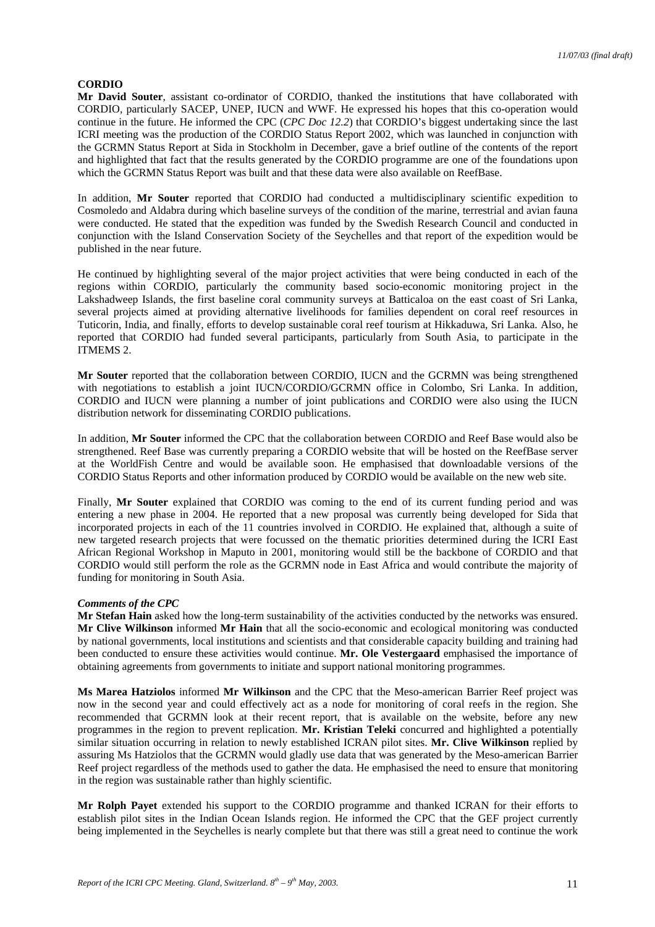# **CORDIO**

**Mr David Souter**, assistant co-ordinator of CORDIO, thanked the institutions that have collaborated with CORDIO, particularly SACEP, UNEP, IUCN and WWF. He expressed his hopes that this co-operation would continue in the future. He informed the CPC (*CPC Doc 12.2*) that CORDIO's biggest undertaking since the last ICRI meeting was the production of the CORDIO Status Report 2002, which was launched in conjunction with the GCRMN Status Report at Sida in Stockholm in December, gave a brief outline of the contents of the report and highlighted that fact that the results generated by the CORDIO programme are one of the foundations upon which the GCRMN Status Report was built and that these data were also available on ReefBase.

In addition, **Mr Souter** reported that CORDIO had conducted a multidisciplinary scientific expedition to Cosmoledo and Aldabra during which baseline surveys of the condition of the marine, terrestrial and avian fauna were conducted. He stated that the expedition was funded by the Swedish Research Council and conducted in conjunction with the Island Conservation Society of the Seychelles and that report of the expedition would be published in the near future.

He continued by highlighting several of the major project activities that were being conducted in each of the regions within CORDIO, particularly the community based socio-economic monitoring project in the Lakshadweep Islands, the first baseline coral community surveys at Batticaloa on the east coast of Sri Lanka, several projects aimed at providing alternative livelihoods for families dependent on coral reef resources in Tuticorin, India, and finally, efforts to develop sustainable coral reef tourism at Hikkaduwa, Sri Lanka. Also, he reported that CORDIO had funded several participants, particularly from South Asia, to participate in the ITMEMS 2.

**Mr Souter** reported that the collaboration between CORDIO, IUCN and the GCRMN was being strengthened with negotiations to establish a joint IUCN/CORDIO/GCRMN office in Colombo, Sri Lanka. In addition, CORDIO and IUCN were planning a number of joint publications and CORDIO were also using the IUCN distribution network for disseminating CORDIO publications.

In addition, **Mr Souter** informed the CPC that the collaboration between CORDIO and Reef Base would also be strengthened. Reef Base was currently preparing a CORDIO website that will be hosted on the ReefBase server at the WorldFish Centre and would be available soon. He emphasised that downloadable versions of the CORDIO Status Reports and other information produced by CORDIO would be available on the new web site.

Finally, **Mr Souter** explained that CORDIO was coming to the end of its current funding period and was entering a new phase in 2004. He reported that a new proposal was currently being developed for Sida that incorporated projects in each of the 11 countries involved in CORDIO. He explained that, although a suite of new targeted research projects that were focussed on the thematic priorities determined during the ICRI East African Regional Workshop in Maputo in 2001, monitoring would still be the backbone of CORDIO and that CORDIO would still perform the role as the GCRMN node in East Africa and would contribute the majority of funding for monitoring in South Asia.

#### *Comments of the CPC*

**Mr Stefan Hain** asked how the long-term sustainability of the activities conducted by the networks was ensured. **Mr Clive Wilkinson** informed **Mr Hain** that all the socio-economic and ecological monitoring was conducted by national governments, local institutions and scientists and that considerable capacity building and training had been conducted to ensure these activities would continue. **Mr. Ole Vestergaard** emphasised the importance of obtaining agreements from governments to initiate and support national monitoring programmes.

**Ms Marea Hatziolos** informed **Mr Wilkinson** and the CPC that the Meso-american Barrier Reef project was now in the second year and could effectively act as a node for monitoring of coral reefs in the region. She recommended that GCRMN look at their recent report, that is available on the website, before any new programmes in the region to prevent replication. **Mr. Kristian Teleki** concurred and highlighted a potentially similar situation occurring in relation to newly established ICRAN pilot sites. **Mr. Clive Wilkinson** replied by assuring Ms Hatziolos that the GCRMN would gladly use data that was generated by the Meso-american Barrier Reef project regardless of the methods used to gather the data. He emphasised the need to ensure that monitoring in the region was sustainable rather than highly scientific.

**Mr Rolph Payet** extended his support to the CORDIO programme and thanked ICRAN for their efforts to establish pilot sites in the Indian Ocean Islands region. He informed the CPC that the GEF project currently being implemented in the Seychelles is nearly complete but that there was still a great need to continue the work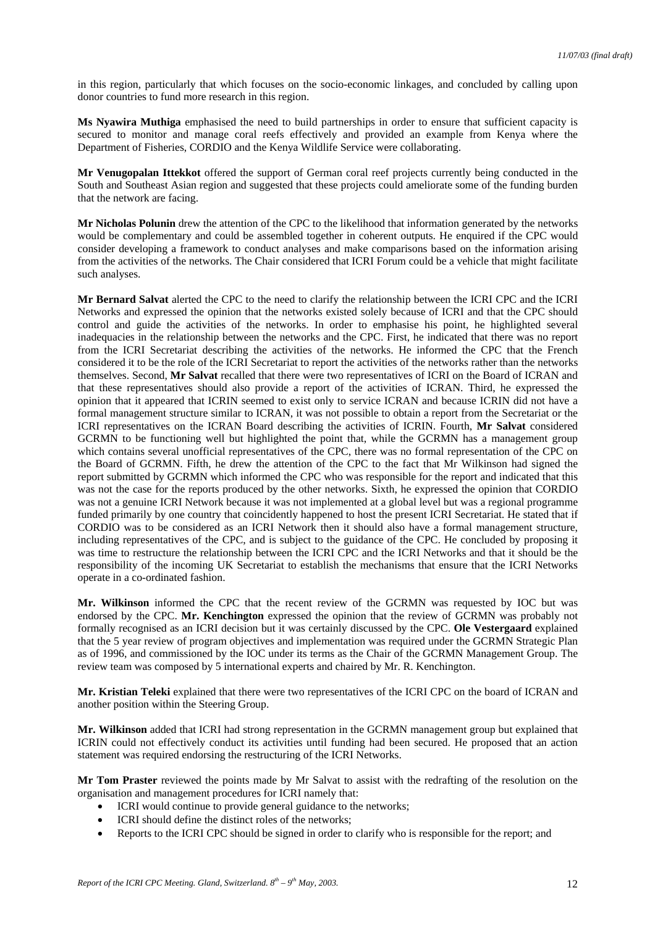in this region, particularly that which focuses on the socio-economic linkages, and concluded by calling upon donor countries to fund more research in this region.

**Ms Nyawira Muthiga** emphasised the need to build partnerships in order to ensure that sufficient capacity is secured to monitor and manage coral reefs effectively and provided an example from Kenya where the Department of Fisheries, CORDIO and the Kenya Wildlife Service were collaborating.

**Mr Venugopalan Ittekkot** offered the support of German coral reef projects currently being conducted in the South and Southeast Asian region and suggested that these projects could ameliorate some of the funding burden that the network are facing.

**Mr Nicholas Polunin** drew the attention of the CPC to the likelihood that information generated by the networks would be complementary and could be assembled together in coherent outputs. He enquired if the CPC would consider developing a framework to conduct analyses and make comparisons based on the information arising from the activities of the networks. The Chair considered that ICRI Forum could be a vehicle that might facilitate such analyses.

**Mr Bernard Salvat** alerted the CPC to the need to clarify the relationship between the ICRI CPC and the ICRI Networks and expressed the opinion that the networks existed solely because of ICRI and that the CPC should control and guide the activities of the networks. In order to emphasise his point, he highlighted several inadequacies in the relationship between the networks and the CPC. First, he indicated that there was no report from the ICRI Secretariat describing the activities of the networks. He informed the CPC that the French considered it to be the role of the ICRI Secretariat to report the activities of the networks rather than the networks themselves. Second, **Mr Salvat** recalled that there were two representatives of ICRI on the Board of ICRAN and that these representatives should also provide a report of the activities of ICRAN. Third, he expressed the opinion that it appeared that ICRIN seemed to exist only to service ICRAN and because ICRIN did not have a formal management structure similar to ICRAN, it was not possible to obtain a report from the Secretariat or the ICRI representatives on the ICRAN Board describing the activities of ICRIN. Fourth, **Mr Salvat** considered GCRMN to be functioning well but highlighted the point that, while the GCRMN has a management group which contains several unofficial representatives of the CPC, there was no formal representation of the CPC on the Board of GCRMN. Fifth, he drew the attention of the CPC to the fact that Mr Wilkinson had signed the report submitted by GCRMN which informed the CPC who was responsible for the report and indicated that this was not the case for the reports produced by the other networks. Sixth, he expressed the opinion that CORDIO was not a genuine ICRI Network because it was not implemented at a global level but was a regional programme funded primarily by one country that coincidently happened to host the present ICRI Secretariat. He stated that if CORDIO was to be considered as an ICRI Network then it should also have a formal management structure, including representatives of the CPC, and is subject to the guidance of the CPC. He concluded by proposing it was time to restructure the relationship between the ICRI CPC and the ICRI Networks and that it should be the responsibility of the incoming UK Secretariat to establish the mechanisms that ensure that the ICRI Networks operate in a co-ordinated fashion.

**Mr. Wilkinson** informed the CPC that the recent review of the GCRMN was requested by IOC but was endorsed by the CPC. **Mr. Kenchington** expressed the opinion that the review of GCRMN was probably not formally recognised as an ICRI decision but it was certainly discussed by the CPC. **Ole Vestergaard** explained that the 5 year review of program objectives and implementation was required under the GCRMN Strategic Plan as of 1996, and commissioned by the IOC under its terms as the Chair of the GCRMN Management Group. The review team was composed by 5 international experts and chaired by Mr. R. Kenchington.

**Mr. Kristian Teleki** explained that there were two representatives of the ICRI CPC on the board of ICRAN and another position within the Steering Group.

**Mr. Wilkinson** added that ICRI had strong representation in the GCRMN management group but explained that ICRIN could not effectively conduct its activities until funding had been secured. He proposed that an action statement was required endorsing the restructuring of the ICRI Networks.

**Mr Tom Praster** reviewed the points made by Mr Salvat to assist with the redrafting of the resolution on the organisation and management procedures for ICRI namely that:

- ICRI would continue to provide general guidance to the networks:
- ICRI should define the distinct roles of the networks;
- Reports to the ICRI CPC should be signed in order to clarify who is responsible for the report; and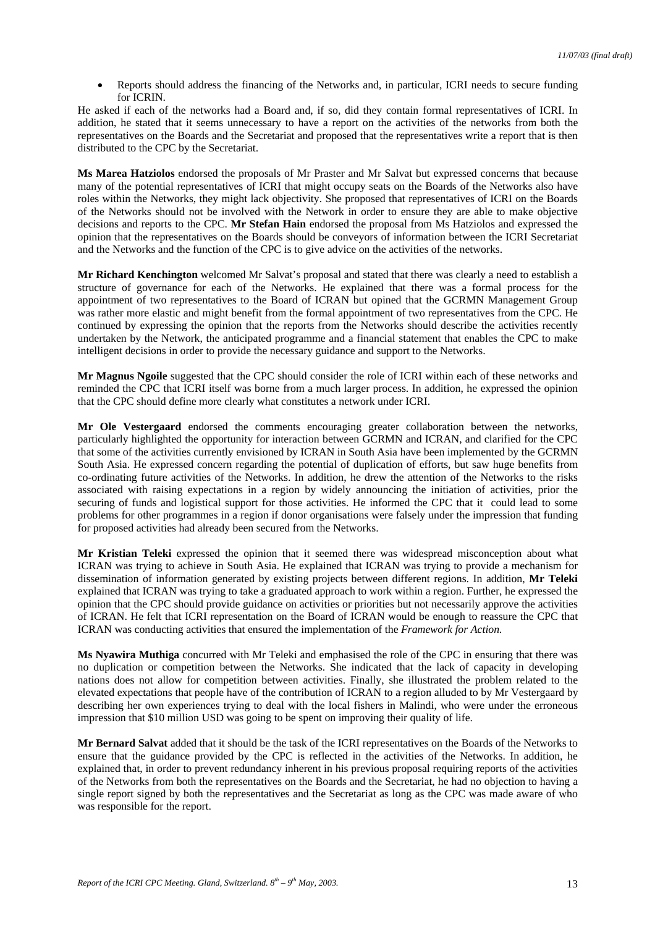• Reports should address the financing of the Networks and, in particular, ICRI needs to secure funding for ICRIN.

He asked if each of the networks had a Board and, if so, did they contain formal representatives of ICRI. In addition, he stated that it seems unnecessary to have a report on the activities of the networks from both the representatives on the Boards and the Secretariat and proposed that the representatives write a report that is then distributed to the CPC by the Secretariat.

**Ms Marea Hatziolos** endorsed the proposals of Mr Praster and Mr Salvat but expressed concerns that because many of the potential representatives of ICRI that might occupy seats on the Boards of the Networks also have roles within the Networks, they might lack objectivity. She proposed that representatives of ICRI on the Boards of the Networks should not be involved with the Network in order to ensure they are able to make objective decisions and reports to the CPC. **Mr Stefan Hain** endorsed the proposal from Ms Hatziolos and expressed the opinion that the representatives on the Boards should be conveyors of information between the ICRI Secretariat and the Networks and the function of the CPC is to give advice on the activities of the networks.

**Mr Richard Kenchington** welcomed Mr Salvat's proposal and stated that there was clearly a need to establish a structure of governance for each of the Networks. He explained that there was a formal process for the appointment of two representatives to the Board of ICRAN but opined that the GCRMN Management Group was rather more elastic and might benefit from the formal appointment of two representatives from the CPC. He continued by expressing the opinion that the reports from the Networks should describe the activities recently undertaken by the Network, the anticipated programme and a financial statement that enables the CPC to make intelligent decisions in order to provide the necessary guidance and support to the Networks.

**Mr Magnus Ngoile** suggested that the CPC should consider the role of ICRI within each of these networks and reminded the CPC that ICRI itself was borne from a much larger process. In addition, he expressed the opinion that the CPC should define more clearly what constitutes a network under ICRI.

**Mr Ole Vestergaard** endorsed the comments encouraging greater collaboration between the networks, particularly highlighted the opportunity for interaction between GCRMN and ICRAN, and clarified for the CPC that some of the activities currently envisioned by ICRAN in South Asia have been implemented by the GCRMN South Asia. He expressed concern regarding the potential of duplication of efforts, but saw huge benefits from co-ordinating future activities of the Networks. In addition, he drew the attention of the Networks to the risks associated with raising expectations in a region by widely announcing the initiation of activities, prior the securing of funds and logistical support for those activities. He informed the CPC that it could lead to some problems for other programmes in a region if donor organisations were falsely under the impression that funding for proposed activities had already been secured from the Networks.

**Mr Kristian Teleki** expressed the opinion that it seemed there was widespread misconception about what ICRAN was trying to achieve in South Asia. He explained that ICRAN was trying to provide a mechanism for dissemination of information generated by existing projects between different regions. In addition, **Mr Teleki** explained that ICRAN was trying to take a graduated approach to work within a region. Further, he expressed the opinion that the CPC should provide guidance on activities or priorities but not necessarily approve the activities of ICRAN. He felt that ICRI representation on the Board of ICRAN would be enough to reassure the CPC that ICRAN was conducting activities that ensured the implementation of the *Framework for Action.* 

**Ms Nyawira Muthiga** concurred with Mr Teleki and emphasised the role of the CPC in ensuring that there was no duplication or competition between the Networks. She indicated that the lack of capacity in developing nations does not allow for competition between activities. Finally, she illustrated the problem related to the elevated expectations that people have of the contribution of ICRAN to a region alluded to by Mr Vestergaard by describing her own experiences trying to deal with the local fishers in Malindi, who were under the erroneous impression that \$10 million USD was going to be spent on improving their quality of life.

**Mr Bernard Salvat** added that it should be the task of the ICRI representatives on the Boards of the Networks to ensure that the guidance provided by the CPC is reflected in the activities of the Networks. In addition, he explained that, in order to prevent redundancy inherent in his previous proposal requiring reports of the activities of the Networks from both the representatives on the Boards and the Secretariat, he had no objection to having a single report signed by both the representatives and the Secretariat as long as the CPC was made aware of who was responsible for the report.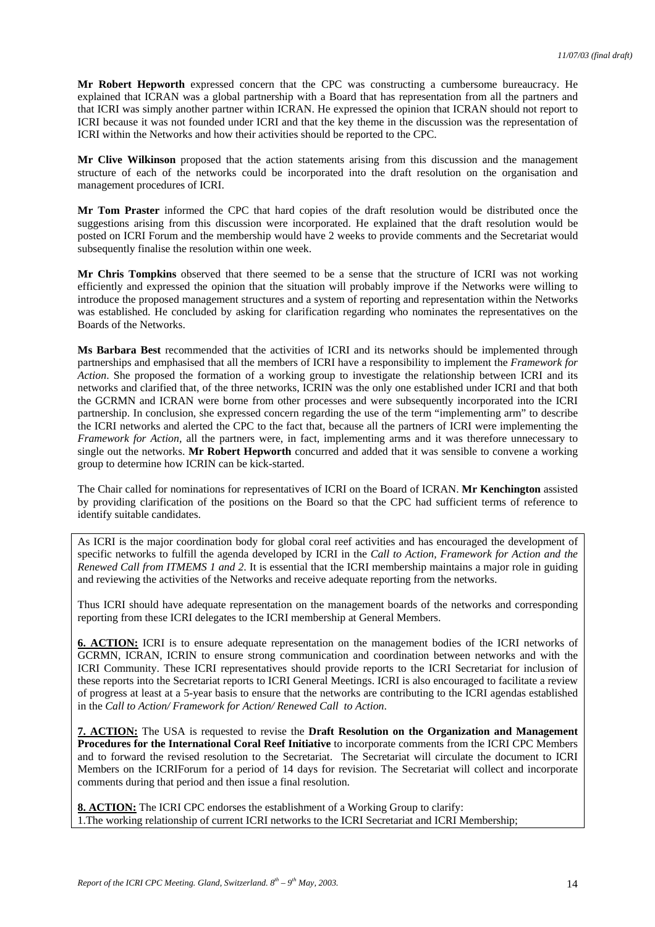**Mr Robert Hepworth** expressed concern that the CPC was constructing a cumbersome bureaucracy. He explained that ICRAN was a global partnership with a Board that has representation from all the partners and that ICRI was simply another partner within ICRAN. He expressed the opinion that ICRAN should not report to ICRI because it was not founded under ICRI and that the key theme in the discussion was the representation of ICRI within the Networks and how their activities should be reported to the CPC.

**Mr Clive Wilkinson** proposed that the action statements arising from this discussion and the management structure of each of the networks could be incorporated into the draft resolution on the organisation and management procedures of ICRI.

**Mr Tom Praster** informed the CPC that hard copies of the draft resolution would be distributed once the suggestions arising from this discussion were incorporated. He explained that the draft resolution would be posted on ICRI Forum and the membership would have 2 weeks to provide comments and the Secretariat would subsequently finalise the resolution within one week.

**Mr Chris Tompkins** observed that there seemed to be a sense that the structure of ICRI was not working efficiently and expressed the opinion that the situation will probably improve if the Networks were willing to introduce the proposed management structures and a system of reporting and representation within the Networks was established. He concluded by asking for clarification regarding who nominates the representatives on the Boards of the Networks.

**Ms Barbara Best** recommended that the activities of ICRI and its networks should be implemented through partnerships and emphasised that all the members of ICRI have a responsibility to implement the *Framework for Action*. She proposed the formation of a working group to investigate the relationship between ICRI and its networks and clarified that, of the three networks, ICRIN was the only one established under ICRI and that both the GCRMN and ICRAN were borne from other processes and were subsequently incorporated into the ICRI partnership. In conclusion, she expressed concern regarding the use of the term "implementing arm" to describe the ICRI networks and alerted the CPC to the fact that, because all the partners of ICRI were implementing the *Framework for Action,* all the partners were, in fact, implementing arms and it was therefore unnecessary to single out the networks. **Mr Robert Hepworth** concurred and added that it was sensible to convene a working group to determine how ICRIN can be kick-started.

The Chair called for nominations for representatives of ICRI on the Board of ICRAN. **Mr Kenchington** assisted by providing clarification of the positions on the Board so that the CPC had sufficient terms of reference to identify suitable candidates.

As ICRI is the major coordination body for global coral reef activities and has encouraged the development of specific networks to fulfill the agenda developed by ICRI in the *Call to Action, Framework for Action and the Renewed Call from ITMEMS 1 and 2*. It is essential that the ICRI membership maintains a major role in guiding and reviewing the activities of the Networks and receive adequate reporting from the networks.

Thus ICRI should have adequate representation on the management boards of the networks and corresponding reporting from these ICRI delegates to the ICRI membership at General Members.

**6. ACTION:** ICRI is to ensure adequate representation on the management bodies of the ICRI networks of GCRMN, ICRAN, ICRIN to ensure strong communication and coordination between networks and with the ICRI Community. These ICRI representatives should provide reports to the ICRI Secretariat for inclusion of these reports into the Secretariat reports to ICRI General Meetings. ICRI is also encouraged to facilitate a review of progress at least at a 5-year basis to ensure that the networks are contributing to the ICRI agendas established in the *Call to Action/ Framework for Action/ Renewed Call to Action*.

**7. ACTION:** The USA is requested to revise the **Draft Resolution on the Organization and Management Procedures for the International Coral Reef Initiative** to incorporate comments from the ICRI CPC Members and to forward the revised resolution to the Secretariat. The Secretariat will circulate the document to ICRI Members on the ICRIForum for a period of 14 days for revision. The Secretariat will collect and incorporate comments during that period and then issue a final resolution.

**8. ACTION:** The ICRI CPC endorses the establishment of a Working Group to clarify: 1.The working relationship of current ICRI networks to the ICRI Secretariat and ICRI Membership;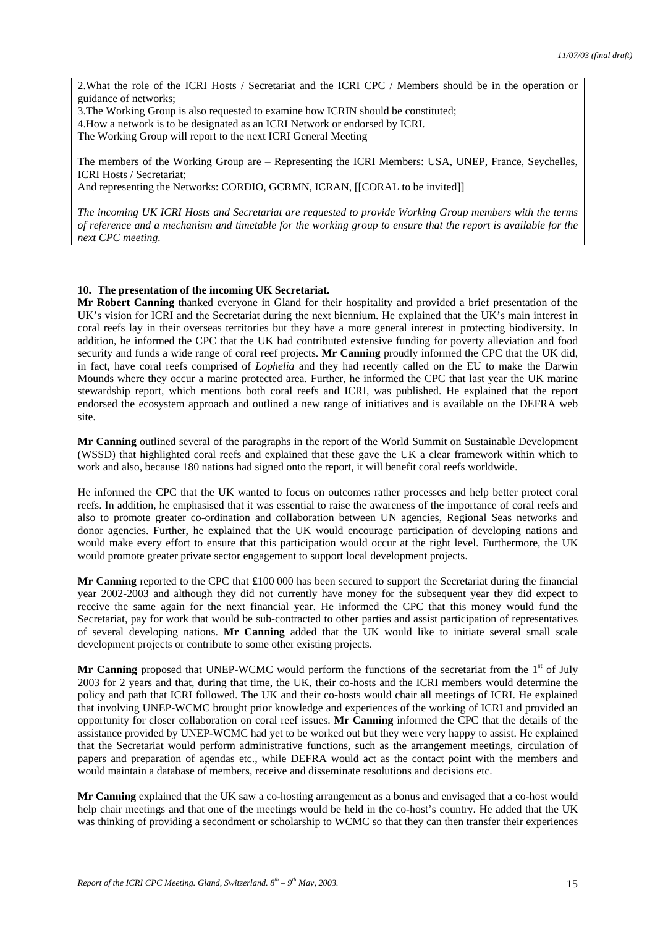2.What the role of the ICRI Hosts / Secretariat and the ICRI CPC / Members should be in the operation or guidance of networks;

3.The Working Group is also requested to examine how ICRIN should be constituted;

4.How a network is to be designated as an ICRI Network or endorsed by ICRI.

The Working Group will report to the next ICRI General Meeting

The members of the Working Group are – Representing the ICRI Members: USA, UNEP, France, Seychelles, ICRI Hosts / Secretariat;

And representing the Networks: CORDIO, GCRMN, ICRAN, [[CORAL to be invited]]

*The incoming UK ICRI Hosts and Secretariat are requested to provide Working Group members with the terms of reference and a mechanism and timetable for the working group to ensure that the report is available for the next CPC meeting.*

## **10. The presentation of the incoming UK Secretariat.**

**Mr Robert Canning** thanked everyone in Gland for their hospitality and provided a brief presentation of the UK's vision for ICRI and the Secretariat during the next biennium. He explained that the UK's main interest in coral reefs lay in their overseas territories but they have a more general interest in protecting biodiversity. In addition, he informed the CPC that the UK had contributed extensive funding for poverty alleviation and food security and funds a wide range of coral reef projects. **Mr Canning** proudly informed the CPC that the UK did, in fact, have coral reefs comprised of *Lophelia* and they had recently called on the EU to make the Darwin Mounds where they occur a marine protected area. Further, he informed the CPC that last year the UK marine stewardship report, which mentions both coral reefs and ICRI, was published. He explained that the report endorsed the ecosystem approach and outlined a new range of initiatives and is available on the DEFRA web site.

**Mr Canning** outlined several of the paragraphs in the report of the World Summit on Sustainable Development (WSSD) that highlighted coral reefs and explained that these gave the UK a clear framework within which to work and also, because 180 nations had signed onto the report, it will benefit coral reefs worldwide.

He informed the CPC that the UK wanted to focus on outcomes rather processes and help better protect coral reefs. In addition, he emphasised that it was essential to raise the awareness of the importance of coral reefs and also to promote greater co-ordination and collaboration between UN agencies, Regional Seas networks and donor agencies. Further, he explained that the UK would encourage participation of developing nations and would make every effort to ensure that this participation would occur at the right level. Furthermore, the UK would promote greater private sector engagement to support local development projects.

**Mr Canning** reported to the CPC that  $\pounds100\,000$  has been secured to support the Secretariat during the financial year 2002-2003 and although they did not currently have money for the subsequent year they did expect to receive the same again for the next financial year. He informed the CPC that this money would fund the Secretariat, pay for work that would be sub-contracted to other parties and assist participation of representatives of several developing nations. **Mr Canning** added that the UK would like to initiate several small scale development projects or contribute to some other existing projects.

**Mr Canning** proposed that UNEP-WCMC would perform the functions of the secretariat from the 1<sup>st</sup> of July 2003 for 2 years and that, during that time, the UK, their co-hosts and the ICRI members would determine the policy and path that ICRI followed. The UK and their co-hosts would chair all meetings of ICRI. He explained that involving UNEP-WCMC brought prior knowledge and experiences of the working of ICRI and provided an opportunity for closer collaboration on coral reef issues. **Mr Canning** informed the CPC that the details of the assistance provided by UNEP-WCMC had yet to be worked out but they were very happy to assist. He explained that the Secretariat would perform administrative functions, such as the arrangement meetings, circulation of papers and preparation of agendas etc., while DEFRA would act as the contact point with the members and would maintain a database of members, receive and disseminate resolutions and decisions etc.

**Mr Canning** explained that the UK saw a co-hosting arrangement as a bonus and envisaged that a co-host would help chair meetings and that one of the meetings would be held in the co-host's country. He added that the UK was thinking of providing a secondment or scholarship to WCMC so that they can then transfer their experiences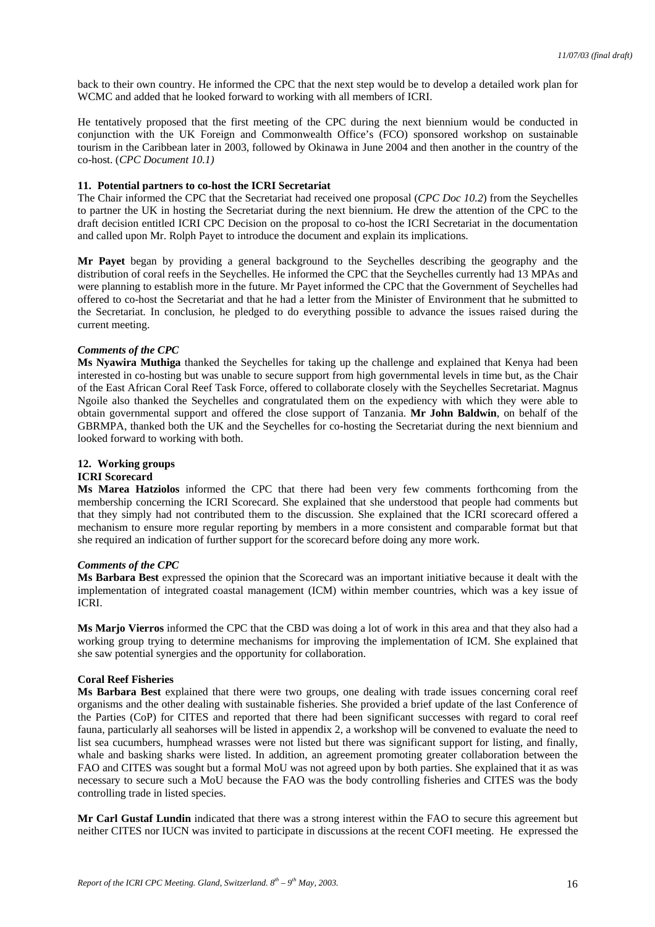back to their own country. He informed the CPC that the next step would be to develop a detailed work plan for WCMC and added that he looked forward to working with all members of ICRI.

He tentatively proposed that the first meeting of the CPC during the next biennium would be conducted in conjunction with the UK Foreign and Commonwealth Office's (FCO) sponsored workshop on sustainable tourism in the Caribbean later in 2003, followed by Okinawa in June 2004 and then another in the country of the co-host. (*CPC Document 10.1)*

## **11. Potential partners to co-host the ICRI Secretariat**

The Chair informed the CPC that the Secretariat had received one proposal (*CPC Doc 10.2*) from the Seychelles to partner the UK in hosting the Secretariat during the next biennium. He drew the attention of the CPC to the draft decision entitled ICRI CPC Decision on the proposal to co-host the ICRI Secretariat in the documentation and called upon Mr. Rolph Payet to introduce the document and explain its implications.

**Mr Payet** began by providing a general background to the Seychelles describing the geography and the distribution of coral reefs in the Seychelles. He informed the CPC that the Seychelles currently had 13 MPAs and were planning to establish more in the future. Mr Payet informed the CPC that the Government of Seychelles had offered to co-host the Secretariat and that he had a letter from the Minister of Environment that he submitted to the Secretariat. In conclusion, he pledged to do everything possible to advance the issues raised during the current meeting.

## *Comments of the CPC*

**Ms Nyawira Muthiga** thanked the Seychelles for taking up the challenge and explained that Kenya had been interested in co-hosting but was unable to secure support from high governmental levels in time but, as the Chair of the East African Coral Reef Task Force, offered to collaborate closely with the Seychelles Secretariat. Magnus Ngoile also thanked the Seychelles and congratulated them on the expediency with which they were able to obtain governmental support and offered the close support of Tanzania. **Mr John Baldwin**, on behalf of the GBRMPA, thanked both the UK and the Seychelles for co-hosting the Secretariat during the next biennium and looked forward to working with both.

#### **12. Working groups ICRI Scorecard**

**Ms Marea Hatziolos** informed the CPC that there had been very few comments forthcoming from the membership concerning the ICRI Scorecard. She explained that she understood that people had comments but that they simply had not contributed them to the discussion. She explained that the ICRI scorecard offered a mechanism to ensure more regular reporting by members in a more consistent and comparable format but that she required an indication of further support for the scorecard before doing any more work.

## *Comments of the CPC*

**Ms Barbara Best** expressed the opinion that the Scorecard was an important initiative because it dealt with the implementation of integrated coastal management (ICM) within member countries, which was a key issue of ICRI.

**Ms Marjo Vierros** informed the CPC that the CBD was doing a lot of work in this area and that they also had a working group trying to determine mechanisms for improving the implementation of ICM. She explained that she saw potential synergies and the opportunity for collaboration.

# **Coral Reef Fisheries**

**Ms Barbara Best** explained that there were two groups, one dealing with trade issues concerning coral reef organisms and the other dealing with sustainable fisheries. She provided a brief update of the last Conference of the Parties (CoP) for CITES and reported that there had been significant successes with regard to coral reef fauna, particularly all seahorses will be listed in appendix 2, a workshop will be convened to evaluate the need to list sea cucumbers, humphead wrasses were not listed but there was significant support for listing, and finally, whale and basking sharks were listed. In addition, an agreement promoting greater collaboration between the FAO and CITES was sought but a formal MoU was not agreed upon by both parties. She explained that it as was necessary to secure such a MoU because the FAO was the body controlling fisheries and CITES was the body controlling trade in listed species.

**Mr Carl Gustaf Lundin** indicated that there was a strong interest within the FAO to secure this agreement but neither CITES nor IUCN was invited to participate in discussions at the recent COFI meeting. He expressed the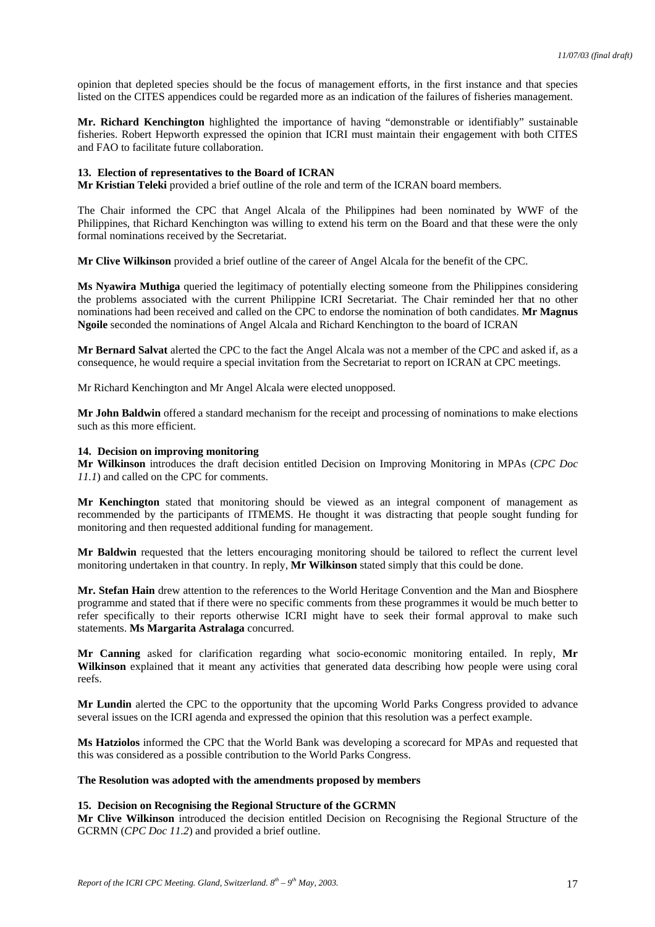opinion that depleted species should be the focus of management efforts, in the first instance and that species listed on the CITES appendices could be regarded more as an indication of the failures of fisheries management.

**Mr. Richard Kenchington** highlighted the importance of having "demonstrable or identifiably" sustainable fisheries. Robert Hepworth expressed the opinion that ICRI must maintain their engagement with both CITES and FAO to facilitate future collaboration.

#### **13. Election of representatives to the Board of ICRAN**

**Mr Kristian Teleki** provided a brief outline of the role and term of the ICRAN board members.

The Chair informed the CPC that Angel Alcala of the Philippines had been nominated by WWF of the Philippines, that Richard Kenchington was willing to extend his term on the Board and that these were the only formal nominations received by the Secretariat.

**Mr Clive Wilkinson** provided a brief outline of the career of Angel Alcala for the benefit of the CPC.

**Ms Nyawira Muthiga** queried the legitimacy of potentially electing someone from the Philippines considering the problems associated with the current Philippine ICRI Secretariat. The Chair reminded her that no other nominations had been received and called on the CPC to endorse the nomination of both candidates. **Mr Magnus Ngoile** seconded the nominations of Angel Alcala and Richard Kenchington to the board of ICRAN

**Mr Bernard Salvat** alerted the CPC to the fact the Angel Alcala was not a member of the CPC and asked if, as a consequence, he would require a special invitation from the Secretariat to report on ICRAN at CPC meetings.

Mr Richard Kenchington and Mr Angel Alcala were elected unopposed.

**Mr John Baldwin** offered a standard mechanism for the receipt and processing of nominations to make elections such as this more efficient.

## **14. Decision on improving monitoring**

**Mr Wilkinson** introduces the draft decision entitled Decision on Improving Monitoring in MPAs (*CPC Doc 11.1*) and called on the CPC for comments.

**Mr Kenchington** stated that monitoring should be viewed as an integral component of management as recommended by the participants of ITMEMS. He thought it was distracting that people sought funding for monitoring and then requested additional funding for management.

**Mr Baldwin** requested that the letters encouraging monitoring should be tailored to reflect the current level monitoring undertaken in that country. In reply, **Mr Wilkinson** stated simply that this could be done.

**Mr. Stefan Hain** drew attention to the references to the World Heritage Convention and the Man and Biosphere programme and stated that if there were no specific comments from these programmes it would be much better to refer specifically to their reports otherwise ICRI might have to seek their formal approval to make such statements. **Ms Margarita Astralaga** concurred.

**Mr Canning** asked for clarification regarding what socio-economic monitoring entailed. In reply, **Mr Wilkinson** explained that it meant any activities that generated data describing how people were using coral reefs.

**Mr Lundin** alerted the CPC to the opportunity that the upcoming World Parks Congress provided to advance several issues on the ICRI agenda and expressed the opinion that this resolution was a perfect example.

**Ms Hatziolos** informed the CPC that the World Bank was developing a scorecard for MPAs and requested that this was considered as a possible contribution to the World Parks Congress.

### **The Resolution was adopted with the amendments proposed by members**

## **15. Decision on Recognising the Regional Structure of the GCRMN**

**Mr Clive Wilkinson** introduced the decision entitled Decision on Recognising the Regional Structure of the GCRMN (*CPC Doc 11.2*) and provided a brief outline.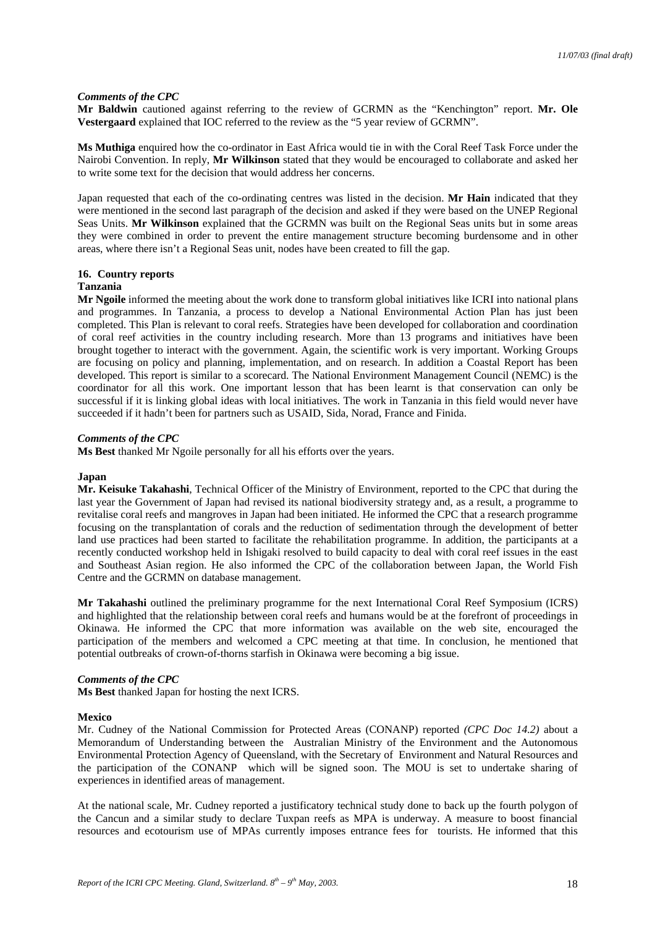### *Comments of the CPC*

**Mr Baldwin** cautioned against referring to the review of GCRMN as the "Kenchington" report. **Mr. Ole Vestergaard** explained that IOC referred to the review as the "5 year review of GCRMN".

**Ms Muthiga** enquired how the co-ordinator in East Africa would tie in with the Coral Reef Task Force under the Nairobi Convention. In reply, **Mr Wilkinson** stated that they would be encouraged to collaborate and asked her to write some text for the decision that would address her concerns.

Japan requested that each of the co-ordinating centres was listed in the decision. **Mr Hain** indicated that they were mentioned in the second last paragraph of the decision and asked if they were based on the UNEP Regional Seas Units. **Mr Wilkinson** explained that the GCRMN was built on the Regional Seas units but in some areas they were combined in order to prevent the entire management structure becoming burdensome and in other areas, where there isn't a Regional Seas unit, nodes have been created to fill the gap.

# **16. Country reports**

### **Tanzania**

**Mr Ngoile** informed the meeting about the work done to transform global initiatives like ICRI into national plans and programmes. In Tanzania, a process to develop a National Environmental Action Plan has just been completed. This Plan is relevant to coral reefs. Strategies have been developed for collaboration and coordination of coral reef activities in the country including research. More than 13 programs and initiatives have been brought together to interact with the government. Again, the scientific work is very important. Working Groups are focusing on policy and planning, implementation, and on research. In addition a Coastal Report has been developed. This report is similar to a scorecard. The National Environment Management Council (NEMC) is the coordinator for all this work. One important lesson that has been learnt is that conservation can only be successful if it is linking global ideas with local initiatives. The work in Tanzania in this field would never have succeeded if it hadn't been for partners such as USAID, Sida, Norad, France and Finida.

### *Comments of the CPC*

**Ms Best** thanked Mr Ngoile personally for all his efforts over the years.

#### **Japan**

**Mr. Keisuke Takahashi**, Technical Officer of the Ministry of Environment, reported to the CPC that during the last year the Government of Japan had revised its national biodiversity strategy and, as a result, a programme to revitalise coral reefs and mangroves in Japan had been initiated. He informed the CPC that a research programme focusing on the transplantation of corals and the reduction of sedimentation through the development of better land use practices had been started to facilitate the rehabilitation programme. In addition, the participants at a recently conducted workshop held in Ishigaki resolved to build capacity to deal with coral reef issues in the east and Southeast Asian region. He also informed the CPC of the collaboration between Japan, the World Fish Centre and the GCRMN on database management.

**Mr Takahashi** outlined the preliminary programme for the next International Coral Reef Symposium (ICRS) and highlighted that the relationship between coral reefs and humans would be at the forefront of proceedings in Okinawa. He informed the CPC that more information was available on the web site, encouraged the participation of the members and welcomed a CPC meeting at that time. In conclusion, he mentioned that potential outbreaks of crown-of-thorns starfish in Okinawa were becoming a big issue.

#### *Comments of the CPC*

**Ms Best** thanked Japan for hosting the next ICRS.

#### **Mexico**

Mr. Cudney of the National Commission for Protected Areas (CONANP) reported *(CPC Doc 14.2)* about a Memorandum of Understanding between the Australian Ministry of the Environment and the Autonomous Environmental Protection Agency of Queensland, with the Secretary of Environment and Natural Resources and the participation of the CONANP which will be signed soon. The MOU is set to undertake sharing of experiences in identified areas of management.

At the national scale, Mr. Cudney reported a justificatory technical study done to back up the fourth polygon of the Cancun and a similar study to declare Tuxpan reefs as MPA is underway. A measure to boost financial resources and ecotourism use of MPAs currently imposes entrance fees for tourists. He informed that this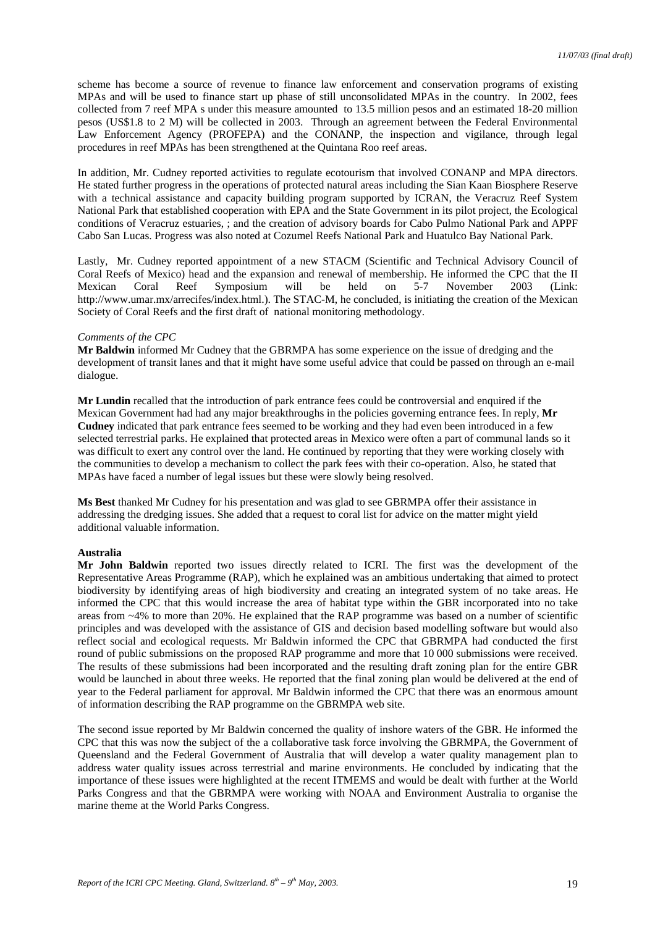scheme has become a source of revenue to finance law enforcement and conservation programs of existing MPAs and will be used to finance start up phase of still unconsolidated MPAs in the country. In 2002, fees collected from 7 reef MPA s under this measure amounted to 13.5 million pesos and an estimated 18-20 million pesos (US\$1.8 to 2 M) will be collected in 2003. Through an agreement between the Federal Environmental Law Enforcement Agency (PROFEPA) and the CONANP, the inspection and vigilance, through legal procedures in reef MPAs has been strengthened at the Quintana Roo reef areas.

In addition, Mr. Cudney reported activities to regulate ecotourism that involved CONANP and MPA directors. He stated further progress in the operations of protected natural areas including the Sian Kaan Biosphere Reserve with a technical assistance and capacity building program supported by ICRAN, the Veracruz Reef System National Park that established cooperation with EPA and the State Government in its pilot project, the Ecological conditions of Veracruz estuaries, ; and the creation of advisory boards for Cabo Pulmo National Park and APPF Cabo San Lucas. Progress was also noted at Cozumel Reefs National Park and Huatulco Bay National Park.

Lastly, Mr. Cudney reported appointment of a new STACM (Scientific and Technical Advisory Council of Coral Reefs of Mexico) head and the expansion and renewal of membership. He informed the CPC that the II Mexican Coral Reef Symposium will be held on 5-7 November 2003 (Link: http://www.umar.mx/arrecifes/index.html.). The STAC-M, he concluded, is initiating the creation of the Mexican Society of Coral Reefs and the first draft of national monitoring methodology.

#### *Comments of the CPC*

**Mr Baldwin** informed Mr Cudney that the GBRMPA has some experience on the issue of dredging and the development of transit lanes and that it might have some useful advice that could be passed on through an e-mail dialogue.

**Mr Lundin** recalled that the introduction of park entrance fees could be controversial and enquired if the Mexican Government had had any major breakthroughs in the policies governing entrance fees. In reply, **Mr Cudney** indicated that park entrance fees seemed to be working and they had even been introduced in a few selected terrestrial parks. He explained that protected areas in Mexico were often a part of communal lands so it was difficult to exert any control over the land. He continued by reporting that they were working closely with the communities to develop a mechanism to collect the park fees with their co-operation. Also, he stated that MPAs have faced a number of legal issues but these were slowly being resolved.

**Ms Best** thanked Mr Cudney for his presentation and was glad to see GBRMPA offer their assistance in addressing the dredging issues. She added that a request to coral list for advice on the matter might yield additional valuable information.

#### **Australia**

**Mr John Baldwin** reported two issues directly related to ICRI. The first was the development of the Representative Areas Programme (RAP), which he explained was an ambitious undertaking that aimed to protect biodiversity by identifying areas of high biodiversity and creating an integrated system of no take areas. He informed the CPC that this would increase the area of habitat type within the GBR incorporated into no take areas from ~4% to more than 20%. He explained that the RAP programme was based on a number of scientific principles and was developed with the assistance of GIS and decision based modelling software but would also reflect social and ecological requests. Mr Baldwin informed the CPC that GBRMPA had conducted the first round of public submissions on the proposed RAP programme and more that 10 000 submissions were received. The results of these submissions had been incorporated and the resulting draft zoning plan for the entire GBR would be launched in about three weeks. He reported that the final zoning plan would be delivered at the end of year to the Federal parliament for approval. Mr Baldwin informed the CPC that there was an enormous amount of information describing the RAP programme on the GBRMPA web site.

The second issue reported by Mr Baldwin concerned the quality of inshore waters of the GBR. He informed the CPC that this was now the subject of the a collaborative task force involving the GBRMPA, the Government of Queensland and the Federal Government of Australia that will develop a water quality management plan to address water quality issues across terrestrial and marine environments. He concluded by indicating that the importance of these issues were highlighted at the recent ITMEMS and would be dealt with further at the World Parks Congress and that the GBRMPA were working with NOAA and Environment Australia to organise the marine theme at the World Parks Congress.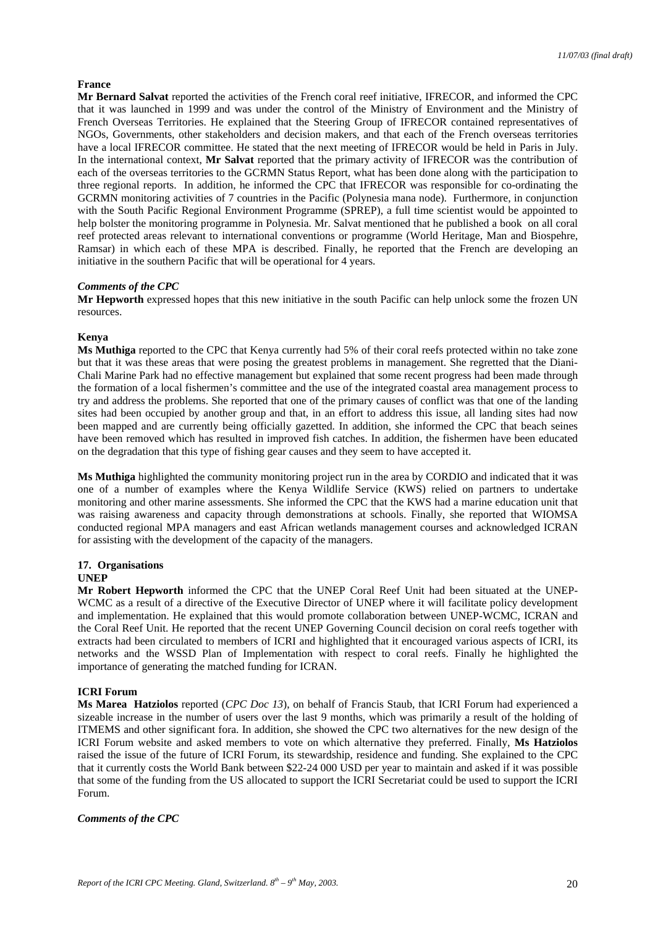## **France**

**Mr Bernard Salvat** reported the activities of the French coral reef initiative, IFRECOR, and informed the CPC that it was launched in 1999 and was under the control of the Ministry of Environment and the Ministry of French Overseas Territories. He explained that the Steering Group of IFRECOR contained representatives of NGOs, Governments, other stakeholders and decision makers, and that each of the French overseas territories have a local IFRECOR committee. He stated that the next meeting of IFRECOR would be held in Paris in July. In the international context, **Mr Salvat** reported that the primary activity of IFRECOR was the contribution of each of the overseas territories to the GCRMN Status Report, what has been done along with the participation to three regional reports. In addition, he informed the CPC that IFRECOR was responsible for co-ordinating the GCRMN monitoring activities of 7 countries in the Pacific (Polynesia mana node). Furthermore, in conjunction with the South Pacific Regional Environment Programme (SPREP), a full time scientist would be appointed to help bolster the monitoring programme in Polynesia. Mr. Salvat mentioned that he published a book on all coral reef protected areas relevant to international conventions or programme (World Heritage, Man and Biospehre, Ramsar) in which each of these MPA is described. Finally, he reported that the French are developing an initiative in the southern Pacific that will be operational for 4 years.

## *Comments of the CPC*

**Mr Hepworth** expressed hopes that this new initiative in the south Pacific can help unlock some the frozen UN resources.

## **Kenya**

**Ms Muthiga** reported to the CPC that Kenya currently had 5% of their coral reefs protected within no take zone but that it was these areas that were posing the greatest problems in management. She regretted that the Diani-Chali Marine Park had no effective management but explained that some recent progress had been made through the formation of a local fishermen's committee and the use of the integrated coastal area management process to try and address the problems. She reported that one of the primary causes of conflict was that one of the landing sites had been occupied by another group and that, in an effort to address this issue, all landing sites had now been mapped and are currently being officially gazetted. In addition, she informed the CPC that beach seines have been removed which has resulted in improved fish catches. In addition, the fishermen have been educated on the degradation that this type of fishing gear causes and they seem to have accepted it.

**Ms Muthiga** highlighted the community monitoring project run in the area by CORDIO and indicated that it was one of a number of examples where the Kenya Wildlife Service (KWS) relied on partners to undertake monitoring and other marine assessments. She informed the CPC that the KWS had a marine education unit that was raising awareness and capacity through demonstrations at schools. Finally, she reported that WIOMSA conducted regional MPA managers and east African wetlands management courses and acknowledged ICRAN for assisting with the development of the capacity of the managers.

# **17. Organisations**

### **UNEP**

**Mr Robert Hepworth** informed the CPC that the UNEP Coral Reef Unit had been situated at the UNEP-WCMC as a result of a directive of the Executive Director of UNEP where it will facilitate policy development and implementation. He explained that this would promote collaboration between UNEP-WCMC, ICRAN and the Coral Reef Unit. He reported that the recent UNEP Governing Council decision on coral reefs together with extracts had been circulated to members of ICRI and highlighted that it encouraged various aspects of ICRI, its networks and the WSSD Plan of Implementation with respect to coral reefs. Finally he highlighted the importance of generating the matched funding for ICRAN.

# **ICRI Forum**

**Ms Marea Hatziolos** reported (*CPC Doc 13*), on behalf of Francis Staub, that ICRI Forum had experienced a sizeable increase in the number of users over the last 9 months, which was primarily a result of the holding of ITMEMS and other significant fora. In addition, she showed the CPC two alternatives for the new design of the ICRI Forum website and asked members to vote on which alternative they preferred. Finally, **Ms Hatziolos** raised the issue of the future of ICRI Forum, its stewardship, residence and funding. She explained to the CPC that it currently costs the World Bank between \$22-24 000 USD per year to maintain and asked if it was possible that some of the funding from the US allocated to support the ICRI Secretariat could be used to support the ICRI Forum.

#### *Comments of the CPC*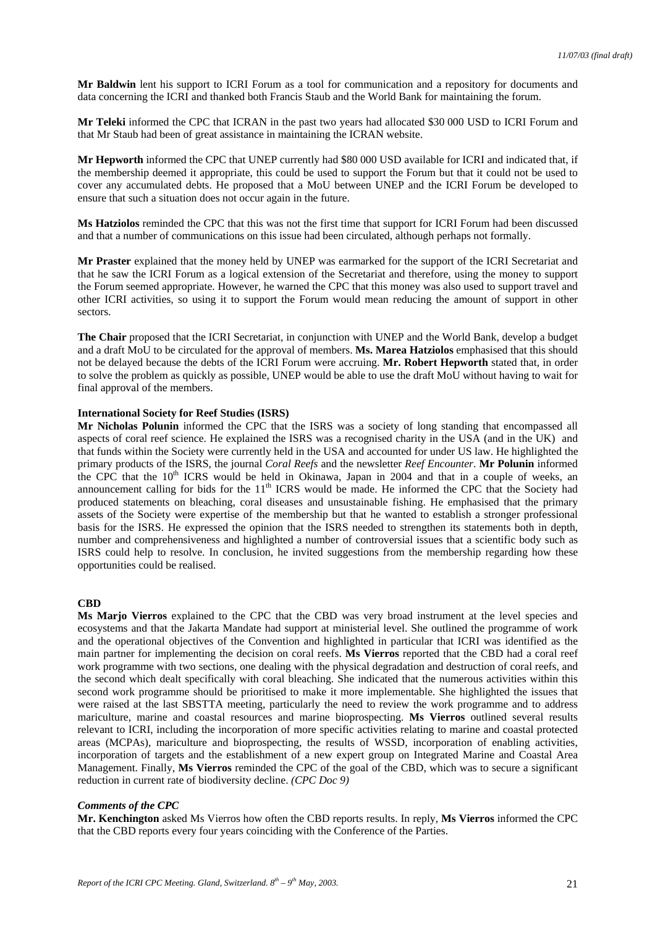**Mr Baldwin** lent his support to ICRI Forum as a tool for communication and a repository for documents and data concerning the ICRI and thanked both Francis Staub and the World Bank for maintaining the forum.

**Mr Teleki** informed the CPC that ICRAN in the past two years had allocated \$30 000 USD to ICRI Forum and that Mr Staub had been of great assistance in maintaining the ICRAN website.

**Mr Hepworth** informed the CPC that UNEP currently had \$80 000 USD available for ICRI and indicated that, if the membership deemed it appropriate, this could be used to support the Forum but that it could not be used to cover any accumulated debts. He proposed that a MoU between UNEP and the ICRI Forum be developed to ensure that such a situation does not occur again in the future.

**Ms Hatziolos** reminded the CPC that this was not the first time that support for ICRI Forum had been discussed and that a number of communications on this issue had been circulated, although perhaps not formally.

**Mr Praster** explained that the money held by UNEP was earmarked for the support of the ICRI Secretariat and that he saw the ICRI Forum as a logical extension of the Secretariat and therefore, using the money to support the Forum seemed appropriate. However, he warned the CPC that this money was also used to support travel and other ICRI activities, so using it to support the Forum would mean reducing the amount of support in other sectors.

**The Chair** proposed that the ICRI Secretariat, in conjunction with UNEP and the World Bank, develop a budget and a draft MoU to be circulated for the approval of members. **Ms. Marea Hatziolos** emphasised that this should not be delayed because the debts of the ICRI Forum were accruing. **Mr. Robert Hepworth** stated that, in order to solve the problem as quickly as possible, UNEP would be able to use the draft MoU without having to wait for final approval of the members.

#### **International Society for Reef Studies (ISRS)**

**Mr Nicholas Polunin** informed the CPC that the ISRS was a society of long standing that encompassed all aspects of coral reef science. He explained the ISRS was a recognised charity in the USA (and in the UK) and that funds within the Society were currently held in the USA and accounted for under US law. He highlighted the primary products of the ISRS, the journal *Coral Reefs* and the newsletter *Reef Encounter*. **Mr Polunin** informed the CPC that the 10<sup>th</sup> ICRS would be held in Okinawa, Japan in 2004 and that in a couple of weeks, an announcement calling for bids for the  $11<sup>th</sup> ICRS$  would be made. He informed the CPC that the Society had produced statements on bleaching, coral diseases and unsustainable fishing. He emphasised that the primary assets of the Society were expertise of the membership but that he wanted to establish a stronger professional basis for the ISRS. He expressed the opinion that the ISRS needed to strengthen its statements both in depth, number and comprehensiveness and highlighted a number of controversial issues that a scientific body such as ISRS could help to resolve. In conclusion, he invited suggestions from the membership regarding how these opportunities could be realised.

### **CBD**

**Ms Marjo Vierros** explained to the CPC that the CBD was very broad instrument at the level species and ecosystems and that the Jakarta Mandate had support at ministerial level. She outlined the programme of work and the operational objectives of the Convention and highlighted in particular that ICRI was identified as the main partner for implementing the decision on coral reefs. **Ms Vierros** reported that the CBD had a coral reef work programme with two sections, one dealing with the physical degradation and destruction of coral reefs, and the second which dealt specifically with coral bleaching. She indicated that the numerous activities within this second work programme should be prioritised to make it more implementable. She highlighted the issues that were raised at the last SBSTTA meeting, particularly the need to review the work programme and to address mariculture, marine and coastal resources and marine bioprospecting. **Ms Vierros** outlined several results relevant to ICRI, including the incorporation of more specific activities relating to marine and coastal protected areas (MCPAs), mariculture and bioprospecting, the results of WSSD, incorporation of enabling activities, incorporation of targets and the establishment of a new expert group on Integrated Marine and Coastal Area Management. Finally, **Ms Vierros** reminded the CPC of the goal of the CBD, which was to secure a significant reduction in current rate of biodiversity decline. *(CPC Doc 9)*

#### *Comments of the CPC*

**Mr. Kenchington** asked Ms Vierros how often the CBD reports results. In reply, **Ms Vierros** informed the CPC that the CBD reports every four years coinciding with the Conference of the Parties.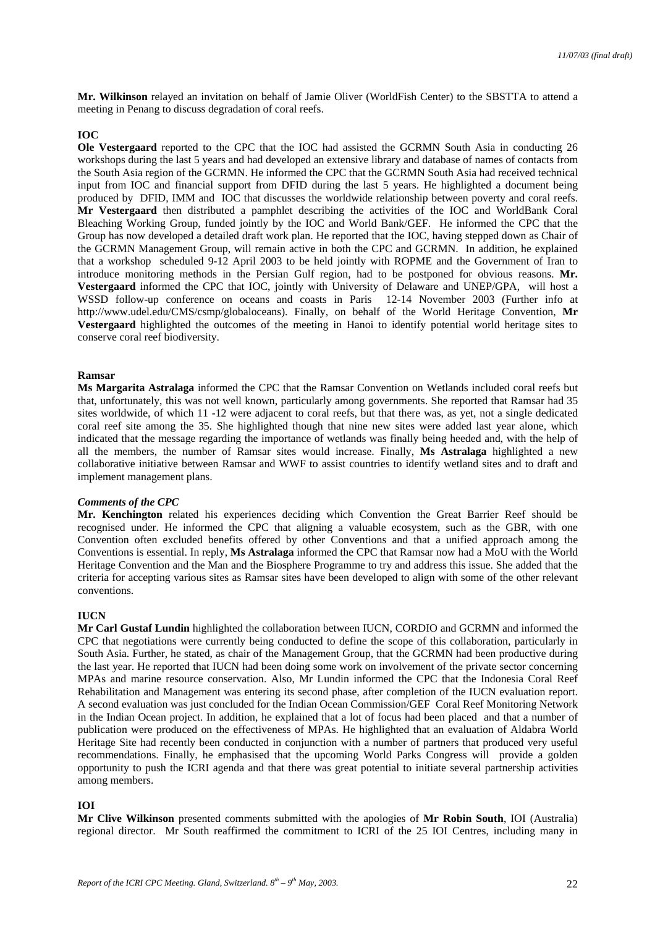**Mr. Wilkinson** relayed an invitation on behalf of Jamie Oliver (WorldFish Center) to the SBSTTA to attend a meeting in Penang to discuss degradation of coral reefs.

#### **IOC**

**Ole Vestergaard** reported to the CPC that the IOC had assisted the GCRMN South Asia in conducting 26 workshops during the last 5 years and had developed an extensive library and database of names of contacts from the South Asia region of the GCRMN. He informed the CPC that the GCRMN South Asia had received technical input from IOC and financial support from DFID during the last 5 years. He highlighted a document being produced by DFID, IMM and IOC that discusses the worldwide relationship between poverty and coral reefs. **Mr Vestergaard** then distributed a pamphlet describing the activities of the IOC and WorldBank Coral Bleaching Working Group, funded jointly by the IOC and World Bank/GEF. He informed the CPC that the Group has now developed a detailed draft work plan. He reported that the IOC, having stepped down as Chair of the GCRMN Management Group, will remain active in both the CPC and GCRMN. In addition, he explained that a workshop scheduled 9-12 April 2003 to be held jointly with ROPME and the Government of Iran to introduce monitoring methods in the Persian Gulf region, had to be postponed for obvious reasons. **Mr. Vestergaard** informed the CPC that IOC, jointly with University of Delaware and UNEP/GPA, will host a WSSD follow-up conference on oceans and coasts in Paris 12-14 November 2003 (Further info at http://www.udel.edu/CMS/csmp/globaloceans). Finally, on behalf of the World Heritage Convention, **Mr Vestergaard** highlighted the outcomes of the meeting in Hanoi to identify potential world heritage sites to conserve coral reef biodiversity.

#### **Ramsar**

**Ms Margarita Astralaga** informed the CPC that the Ramsar Convention on Wetlands included coral reefs but that, unfortunately, this was not well known, particularly among governments. She reported that Ramsar had 35 sites worldwide, of which 11 -12 were adjacent to coral reefs, but that there was, as yet, not a single dedicated coral reef site among the 35. She highlighted though that nine new sites were added last year alone, which indicated that the message regarding the importance of wetlands was finally being heeded and, with the help of all the members, the number of Ramsar sites would increase. Finally, **Ms Astralaga** highlighted a new collaborative initiative between Ramsar and WWF to assist countries to identify wetland sites and to draft and implement management plans.

#### *Comments of the CPC*

**Mr. Kenchington** related his experiences deciding which Convention the Great Barrier Reef should be recognised under. He informed the CPC that aligning a valuable ecosystem, such as the GBR, with one Convention often excluded benefits offered by other Conventions and that a unified approach among the Conventions is essential. In reply, **Ms Astralaga** informed the CPC that Ramsar now had a MoU with the World Heritage Convention and the Man and the Biosphere Programme to try and address this issue. She added that the criteria for accepting various sites as Ramsar sites have been developed to align with some of the other relevant conventions.

#### **IIICN**

**Mr Carl Gustaf Lundin** highlighted the collaboration between IUCN, CORDIO and GCRMN and informed the CPC that negotiations were currently being conducted to define the scope of this collaboration, particularly in South Asia. Further, he stated, as chair of the Management Group, that the GCRMN had been productive during the last year. He reported that IUCN had been doing some work on involvement of the private sector concerning MPAs and marine resource conservation. Also, Mr Lundin informed the CPC that the Indonesia Coral Reef Rehabilitation and Management was entering its second phase, after completion of the IUCN evaluation report. A second evaluation was just concluded for the Indian Ocean Commission/GEF Coral Reef Monitoring Network in the Indian Ocean project. In addition, he explained that a lot of focus had been placed and that a number of publication were produced on the effectiveness of MPAs. He highlighted that an evaluation of Aldabra World Heritage Site had recently been conducted in conjunction with a number of partners that produced very useful recommendations. Finally, he emphasised that the upcoming World Parks Congress will provide a golden opportunity to push the ICRI agenda and that there was great potential to initiate several partnership activities among members.

#### **IOI**

**Mr Clive Wilkinson** presented comments submitted with the apologies of **Mr Robin South**, IOI (Australia) regional director. Mr South reaffirmed the commitment to ICRI of the 25 IOI Centres, including many in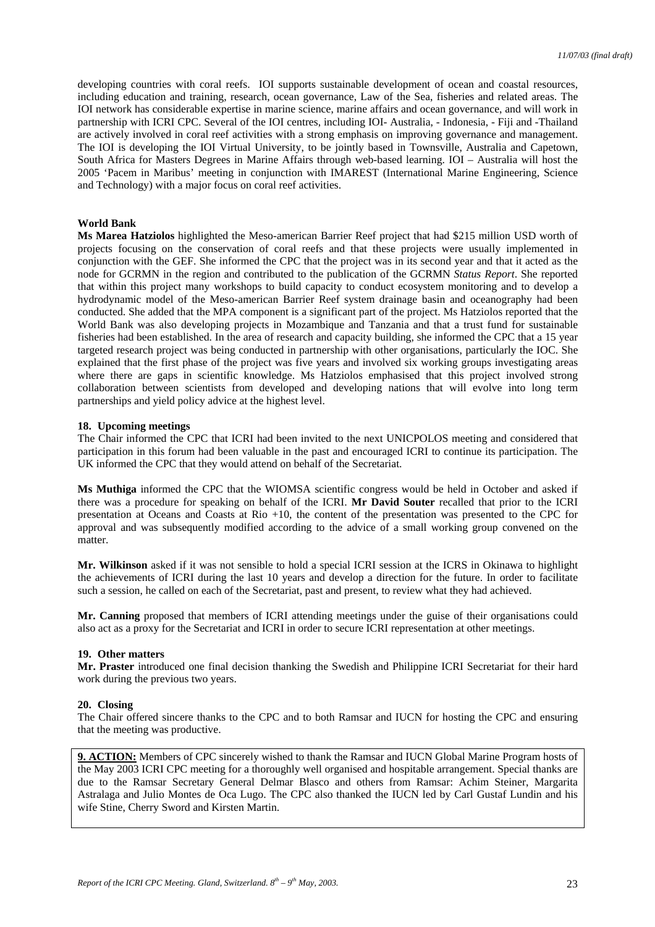developing countries with coral reefs. IOI supports sustainable development of ocean and coastal resources, including education and training, research, ocean governance, Law of the Sea, fisheries and related areas. The IOI network has considerable expertise in marine science, marine affairs and ocean governance, and will work in partnership with ICRI CPC. Several of the IOI centres, including IOI- Australia, - Indonesia, - Fiji and -Thailand are actively involved in coral reef activities with a strong emphasis on improving governance and management. The IOI is developing the IOI Virtual University, to be jointly based in Townsville, Australia and Capetown, South Africa for Masters Degrees in Marine Affairs through web-based learning. IOI – Australia will host the 2005 'Pacem in Maribus' meeting in conjunction with IMAREST (International Marine Engineering, Science and Technology) with a major focus on coral reef activities.

### **World Bank**

**Ms Marea Hatziolos** highlighted the Meso-american Barrier Reef project that had \$215 million USD worth of projects focusing on the conservation of coral reefs and that these projects were usually implemented in conjunction with the GEF. She informed the CPC that the project was in its second year and that it acted as the node for GCRMN in the region and contributed to the publication of the GCRMN *Status Report*. She reported that within this project many workshops to build capacity to conduct ecosystem monitoring and to develop a hydrodynamic model of the Meso-american Barrier Reef system drainage basin and oceanography had been conducted. She added that the MPA component is a significant part of the project. Ms Hatziolos reported that the World Bank was also developing projects in Mozambique and Tanzania and that a trust fund for sustainable fisheries had been established. In the area of research and capacity building, she informed the CPC that a 15 year targeted research project was being conducted in partnership with other organisations, particularly the IOC. She explained that the first phase of the project was five years and involved six working groups investigating areas where there are gaps in scientific knowledge. Ms Hatziolos emphasised that this project involved strong collaboration between scientists from developed and developing nations that will evolve into long term partnerships and yield policy advice at the highest level.

### **18. Upcoming meetings**

The Chair informed the CPC that ICRI had been invited to the next UNICPOLOS meeting and considered that participation in this forum had been valuable in the past and encouraged ICRI to continue its participation. The UK informed the CPC that they would attend on behalf of the Secretariat.

**Ms Muthiga** informed the CPC that the WIOMSA scientific congress would be held in October and asked if there was a procedure for speaking on behalf of the ICRI. **Mr David Souter** recalled that prior to the ICRI presentation at Oceans and Coasts at Rio +10, the content of the presentation was presented to the CPC for approval and was subsequently modified according to the advice of a small working group convened on the matter.

**Mr. Wilkinson** asked if it was not sensible to hold a special ICRI session at the ICRS in Okinawa to highlight the achievements of ICRI during the last 10 years and develop a direction for the future. In order to facilitate such a session, he called on each of the Secretariat, past and present, to review what they had achieved.

**Mr. Canning** proposed that members of ICRI attending meetings under the guise of their organisations could also act as a proxy for the Secretariat and ICRI in order to secure ICRI representation at other meetings.

#### **19. Other matters**

**Mr. Praster** introduced one final decision thanking the Swedish and Philippine ICRI Secretariat for their hard work during the previous two years.

## **20. Closing**

The Chair offered sincere thanks to the CPC and to both Ramsar and IUCN for hosting the CPC and ensuring that the meeting was productive.

**9. ACTION:** Members of CPC sincerely wished to thank the Ramsar and IUCN Global Marine Program hosts of the May 2003 ICRI CPC meeting for a thoroughly well organised and hospitable arrangement. Special thanks are due to the Ramsar Secretary General Delmar Blasco and others from Ramsar: Achim Steiner, Margarita Astralaga and Julio Montes de Oca Lugo. The CPC also thanked the IUCN led by Carl Gustaf Lundin and his wife Stine, Cherry Sword and Kirsten Martin.